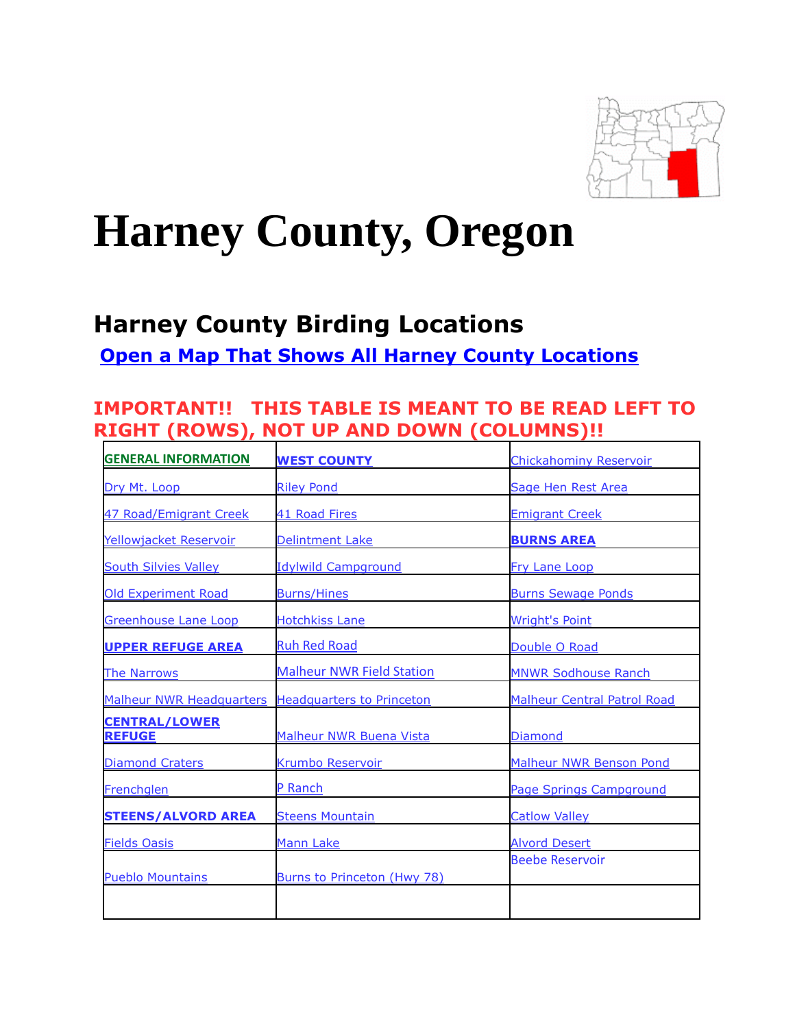

# **Harney County, Oregon**

# **Harney County Birding Locations**

**[Open a Map That Shows All Harney County Locations](https://www.google.com/maps/d/edit?mid=zVl1oTDALjf4.ksvXTPjjkwMs&usp=sharing)**

### **IMPORTANT!! THIS TABLE IS MEANT TO BE READ LEFT TO RIGHT (ROWS), NOT UP AND DOWN (COLUMNS)!!**

| <b>GENERAL INFORMATION</b>            | <b>WEST COUNTY</b>               | <b>Chickahominy Reservoir</b>      |
|---------------------------------------|----------------------------------|------------------------------------|
| Dry Mt. Loop                          | <b>Riley Pond</b>                | Sage Hen Rest Area                 |
| 47 Road/Emigrant Creek                | 41 Road Fires                    | <b>Emigrant Creek</b>              |
| Yellowjacket Reservoir                | <b>Delintment Lake</b>           | <b>BURNS AREA</b>                  |
| <b>South Silvies Valley</b>           | <b>Idylwild Campground</b>       | Fry Lane Loop                      |
| <b>Old Experiment Road</b>            | <b>Burns/Hines</b>               | <b>Burns Sewage Ponds</b>          |
| <b>Greenhouse Lane Loop</b>           | <b>Hotchkiss Lane</b>            | <b>Wright's Point</b>              |
| <b>UPPER REFUGE AREA</b>              | <b>Ruh Red Road</b>              | Double O Road                      |
| <b>The Narrows</b>                    | <b>Malheur NWR Field Station</b> | <b>MNWR Sodhouse Ranch</b>         |
| <b>Malheur NWR Headquarters</b>       | <b>Headquarters to Princeton</b> | <b>Malheur Central Patrol Road</b> |
| <b>CENTRAL/LOWER</b><br><b>REFUGE</b> | <b>Malheur NWR Buena Vista</b>   | <b>Diamond</b>                     |
| <b>Diamond Craters</b>                | <b>Krumbo Reservoir</b>          | <b>Malheur NWR Benson Pond</b>     |
| Frenchglen                            | P Ranch                          | Page Springs Campground            |
| <b>STEENS/ALVORD AREA</b>             | <b>Steens Mountain</b>           | <b>Catlow Valley</b>               |
| <b>Fields Oasis</b>                   | <b>Mann Lake</b>                 | <b>Alvord Desert</b>               |
| <b>Pueblo Mountains</b>               | Burns to Princeton (Hwy 78)      | <b>Beebe Reservoir</b>             |
|                                       |                                  |                                    |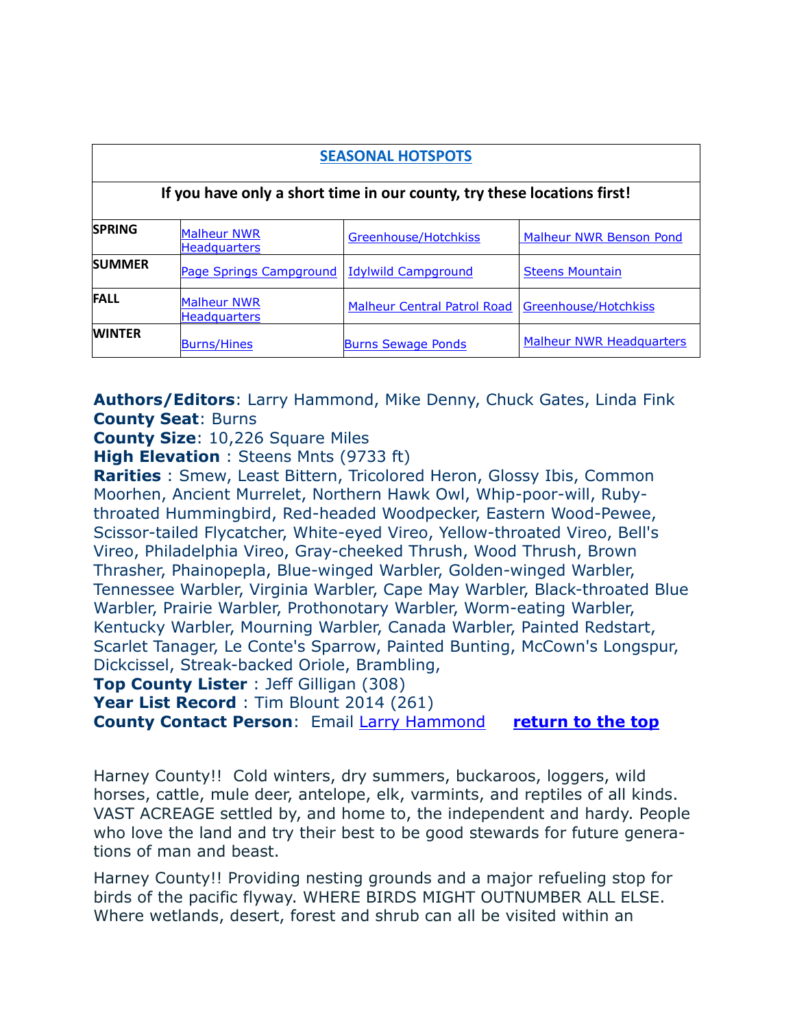| <b>SEASONAL HOTSPOTS</b><br>If you have only a short time in our county, try these locations first! |                                           |                                    |                                 |  |
|-----------------------------------------------------------------------------------------------------|-------------------------------------------|------------------------------------|---------------------------------|--|
|                                                                                                     |                                           |                                    |                                 |  |
| <b>SUMMER</b>                                                                                       | Page Springs Campground                   | <b>Idylwild Campground</b>         | <b>Steens Mountain</b>          |  |
| <b>FALL</b>                                                                                         | <b>Malheur NWR</b><br><b>Headquarters</b> | <b>Malheur Central Patrol Road</b> | Greenhouse/Hotchkiss            |  |
| <b>WINTER</b>                                                                                       | <b>Burns/Hines</b>                        | <b>Burns Sewage Ponds</b>          | <b>Malheur NWR Headquarters</b> |  |

**Authors/Editors**: Larry Hammond, Mike Denny, Chuck Gates, Linda Fink **County Seat**: Burns

**County Size**: 10,226 Square Miles

**High Elevation** : Steens Mnts (9733 ft)

**Rarities** : Smew, Least Bittern, Tricolored Heron, Glossy Ibis, Common Moorhen, Ancient Murrelet, Northern Hawk Owl, Whip-poor-will, Rubythroated Hummingbird, Red-headed Woodpecker, Eastern Wood-Pewee, Scissor-tailed Flycatcher, White-eyed Vireo, Yellow-throated Vireo, Bell's Vireo, Philadelphia Vireo, Gray-cheeked Thrush, Wood Thrush, Brown Thrasher, Phainopepla, Blue-winged Warbler, Golden-winged Warbler, Tennessee Warbler, Virginia Warbler, Cape May Warbler, Black-throated Blue Warbler, Prairie Warbler, Prothonotary Warbler, Worm-eating Warbler, Kentucky Warbler, Mourning Warbler, Canada Warbler, Painted Redstart, Scarlet Tanager, Le Conte's Sparrow, Painted Bunting, McCown's Longspur, Dickcissel, Streak-backed Oriole, Brambling,

**Top County Lister** : Jeff Gilligan (308)

Year List Record : Tim Blount 2014 (261)

**County Contact Person**: Email [Larry Hammond](mailto:lshammond@centurytel.net) **return to the top**

Harney County!! Cold winters, dry summers, buckaroos, loggers, wild horses, cattle, mule deer, antelope, elk, varmints, and reptiles of all kinds. VAST ACREAGE settled by, and home to, the independent and hardy. People who love the land and try their best to be good stewards for future generations of man and beast.

Harney County!! Providing nesting grounds and a major refueling stop for birds of the pacific flyway. WHERE BIRDS MIGHT OUTNUMBER ALL ELSE. Where wetlands, desert, forest and shrub can all be visited within an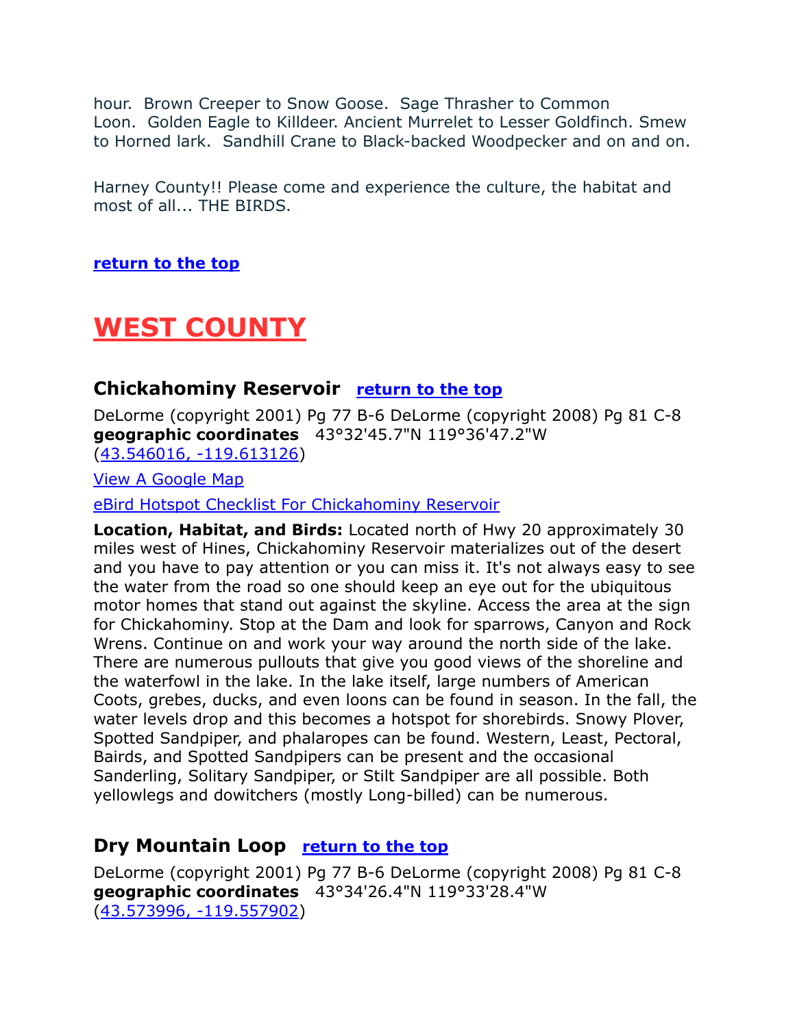hour. Brown Creeper to Snow Goose. Sage Thrasher to Common Loon. Golden Eagle to Killdeer. Ancient Murrelet to Lesser Goldfinch. Smew to Horned lark. Sandhill Crane to Black-backed Woodpecker and on and on.

Harney County!! Please come and experience the culture, the habitat and most of all... THE BIRDS.

**return to the top**

# **WEST COUNTY**

#### **Chickahominy Reservoir** return to the top

DeLorme (copyright 2001) Pg 77 B-6 DeLorme (copyright 2008) Pg 81 C-8 **geographic coordinates** 43°32'45.7"N 119°36'47.2"W [\(43.546016, -119.613126\)](https://www.google.com/maps/place/43°32)

[View A Google Map](http://maps.google.com/maps/ms?hl=en&ie=UTF8&msa=0&msid=108036481085398338899.00046eea922986e8eeaa0&ll=43.54158,-119.503784&spn=0.654014,1.399384&z=10)

[eBird Hotspot Checklist For Chickahominy Reservoir](http://ebird.org/ebird/hotspot/L598381?yr=all&m=&rank=hc)

**Location, Habitat, and Birds:** Located north of Hwy 20 approximately 30 miles west of Hines, Chickahominy Reservoir materializes out of the desert and you have to pay attention or you can miss it. It's not always easy to see the water from the road so one should keep an eye out for the ubiquitous motor homes that stand out against the skyline. Access the area at the sign for Chickahominy. Stop at the Dam and look for sparrows, Canyon and Rock Wrens. Continue on and work your way around the north side of the lake. There are numerous pullouts that give you good views of the shoreline and the waterfowl in the lake. In the lake itself, large numbers of American Coots, grebes, ducks, and even loons can be found in season. In the fall, the water levels drop and this becomes a hotspot for shorebirds. Snowy Plover, Spotted Sandpiper, and phalaropes can be found. Western, Least, Pectoral, Bairds, and Spotted Sandpipers can be present and the occasional Sanderling, Solitary Sandpiper, or Stilt Sandpiper are all possible. Both yellowlegs and dowitchers (mostly Long-billed) can be numerous.

#### **Dry Mountain Loop** return to the top

DeLorme (copyright 2001) Pg 77 B-6 DeLorme (copyright 2008) Pg 81 C-8 **geographic coordinates** 43°34'26.4"N 119°33'28.4"W [\(43.573996, -119.557902\)](https://www.google.com/maps/place/43°34)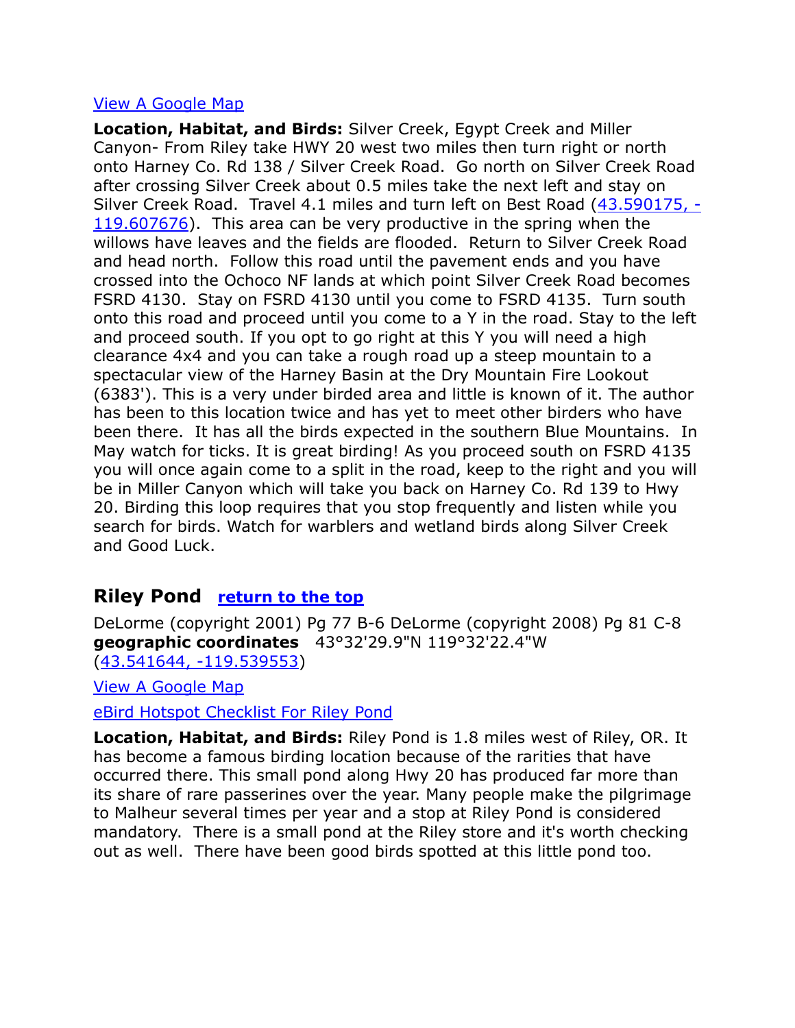#### [View A Google Map](http://maps.google.com/maps/ms?hl=en&ie=UTF8&msa=0&msid=108036481085398338899.00046eea922986e8eeaa0&ll=43.54158,-119.503784&spn=0.654014,1.399384&z=10)

**Location, Habitat, and Birds:** Silver Creek, Egypt Creek and Miller Canyon- From Riley take HWY 20 west two miles then turn right or north onto Harney Co. Rd 138 / Silver Creek Road. Go north on Silver Creek Road after crossing Silver Creek about 0.5 miles take the next left and stay on Silver Creek Road. Travel 4.1 miles and turn left on Best Road [\(43.590175, -](https://www.google.com/maps/place/43°35) [119.607676\)](https://www.google.com/maps/place/43°35). This area can be very productive in the spring when the willows have leaves and the fields are flooded. Return to Silver Creek Road and head north. Follow this road until the pavement ends and you have crossed into the Ochoco NF lands at which point Silver Creek Road becomes FSRD 4130. Stay on FSRD 4130 until you come to FSRD 4135. Turn south onto this road and proceed until you come to a Y in the road. Stay to the left and proceed south. If you opt to go right at this Y you will need a high clearance 4x4 and you can take a rough road up a steep mountain to a spectacular view of the Harney Basin at the Dry Mountain Fire Lookout (6383'). This is a very under birded area and little is known of it. The author has been to this location twice and has yet to meet other birders who have been there. It has all the birds expected in the southern Blue Mountains. In May watch for ticks. It is great birding! As you proceed south on FSRD 4135 you will once again come to a split in the road, keep to the right and you will be in Miller Canyon which will take you back on Harney Co. Rd 139 to Hwy 20. Birding this loop requires that you stop frequently and listen while you search for birds. Watch for warblers and wetland birds along Silver Creek and Good Luck.

#### **Riley Pond return to the top**

DeLorme (copyright 2001) Pg 77 B-6 DeLorme (copyright 2008) Pg 81 C-8 **geographic coordinates** 43°32'29.9"N 119°32'22.4"W [\(43.541644, -119.539553\)](https://www.google.com/maps/place/43°32)

[View A Google Map](http://maps.google.com/maps/ms?hl=en&ie=UTF8&msa=0&msid=108036481085398338899.00046eea922986e8eeaa0&ll=43.54158,-119.503784&spn=0.654014,1.399384&z=10)

[eBird Hotspot Checklist For Riley Pond](http://ebird.org/ebird/hotspot/L742934?yr=all&m=&rank=hc)

**Location, Habitat, and Birds:** Riley Pond is 1.8 miles west of Riley, OR. It has become a famous birding location because of the rarities that have occurred there. This small pond along Hwy 20 has produced far more than its share of rare passerines over the year. Many people make the pilgrimage to Malheur several times per year and a stop at Riley Pond is considered mandatory. There is a small pond at the Riley store and it's worth checking out as well. There have been good birds spotted at this little pond too.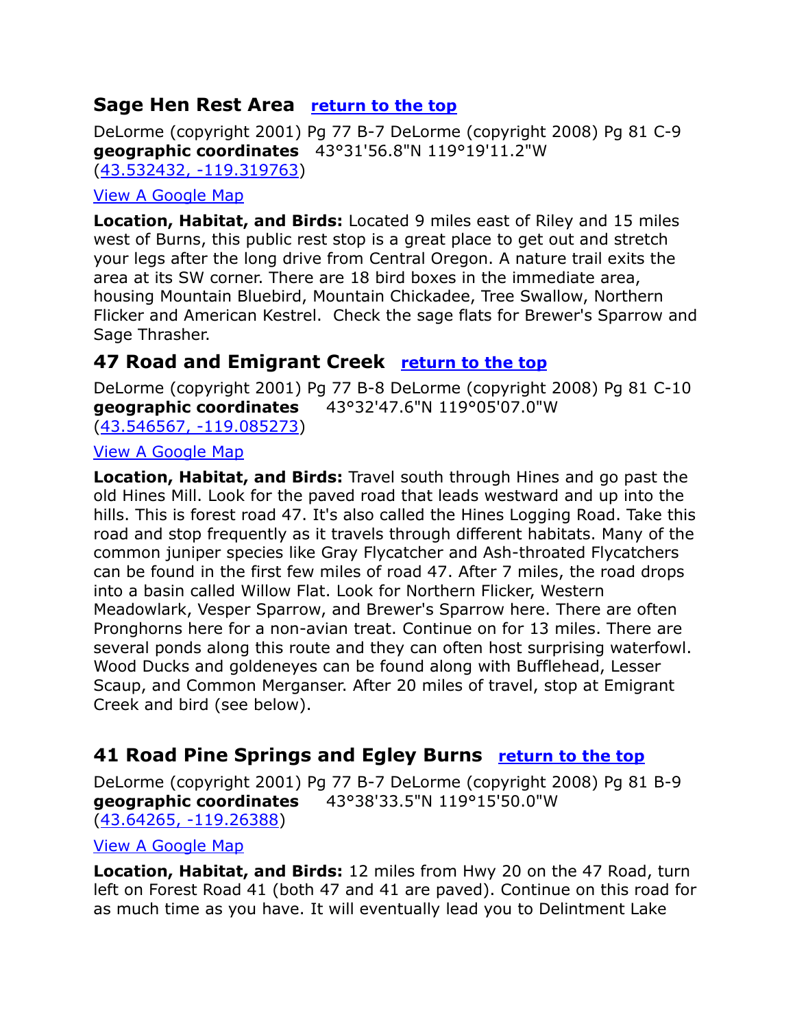### **Sage Hen Rest Area return to the top**

DeLorme (copyright 2001) Pg 77 B-7 DeLorme (copyright 2008) Pg 81 C-9 **geographic coordinates** 43°31'56.8"N 119°19'11.2"W [\(43.532432, -119.319763\)](https://www.google.com/maps/place/43°31)

#### [View A Google Map](http://maps.google.com/maps/ms?hl=en&ie=UTF8&msa=0&msid=108036481085398338899.00046eea922986e8eeaa0&ll=43.54158,-119.503784&spn=0.654014,1.399384&z=10)

**Location, Habitat, and Birds:** Located 9 miles east of Riley and 15 miles west of Burns, this public rest stop is a great place to get out and stretch your legs after the long drive from Central Oregon. A nature trail exits the area at its SW corner. There are 18 bird boxes in the immediate area, housing Mountain Bluebird, Mountain Chickadee, Tree Swallow, Northern Flicker and American Kestrel. Check the sage flats for Brewer's Sparrow and Sage Thrasher.

### **47 Road and Emigrant Creek return to the top**

DeLorme (copyright 2001) Pg 77 B-8 DeLorme (copyright 2008) Pg 81 C-10 **geographic coordinates** 43°32'47.6"N 119°05'07.0"W [\(43.546567, -119.085273\)](https://www.google.com/maps/place/43°32)

#### [View A Google Map](http://maps.google.com/maps/ms?hl=en&ie=UTF8&msa=0&msid=108036481085398338899.00046eeb6e4a938a602fd&ll=43.757209,-119.429626&spn=0.65167,1.399384&z=10)

**Location, Habitat, and Birds:** Travel south through Hines and go past the old Hines Mill. Look for the paved road that leads westward and up into the hills. This is forest road 47. It's also called the Hines Logging Road. Take this road and stop frequently as it travels through different habitats. Many of the common juniper species like Gray Flycatcher and Ash-throated Flycatchers can be found in the first few miles of road 47. After 7 miles, the road drops into a basin called Willow Flat. Look for Northern Flicker, Western Meadowlark, Vesper Sparrow, and Brewer's Sparrow here. There are often Pronghorns here for a non-avian treat. Continue on for 13 miles. There are several ponds along this route and they can often host surprising waterfowl. Wood Ducks and goldeneyes can be found along with Bufflehead, Lesser Scaup, and Common Merganser. After 20 miles of travel, stop at Emigrant Creek and bird (see below).

### **41 Road Pine Springs and Egley Burns return to the top**

DeLorme (copyright 2001) Pg 77 B-7 DeLorme (copyright 2008) Pg 81 B-9 **geographic coordinates** 43°38'33.5"N 119°15'50.0"W [\(43.64265, -119.26388\)](https://www.google.com/maps/place/43°38)

#### [View A Google Map](http://maps.google.com/maps/ms?hl=en&ie=UTF8&msa=0&msid=108036481085398338899.00046eeb6e4a938a602fd&ll=43.757209,-119.429626&spn=0.65167,1.399384&z=10)

**Location, Habitat, and Birds:** 12 miles from Hwy 20 on the 47 Road, turn left on Forest Road 41 (both 47 and 41 are paved). Continue on this road for as much time as you have. It will eventually lead you to Delintment Lake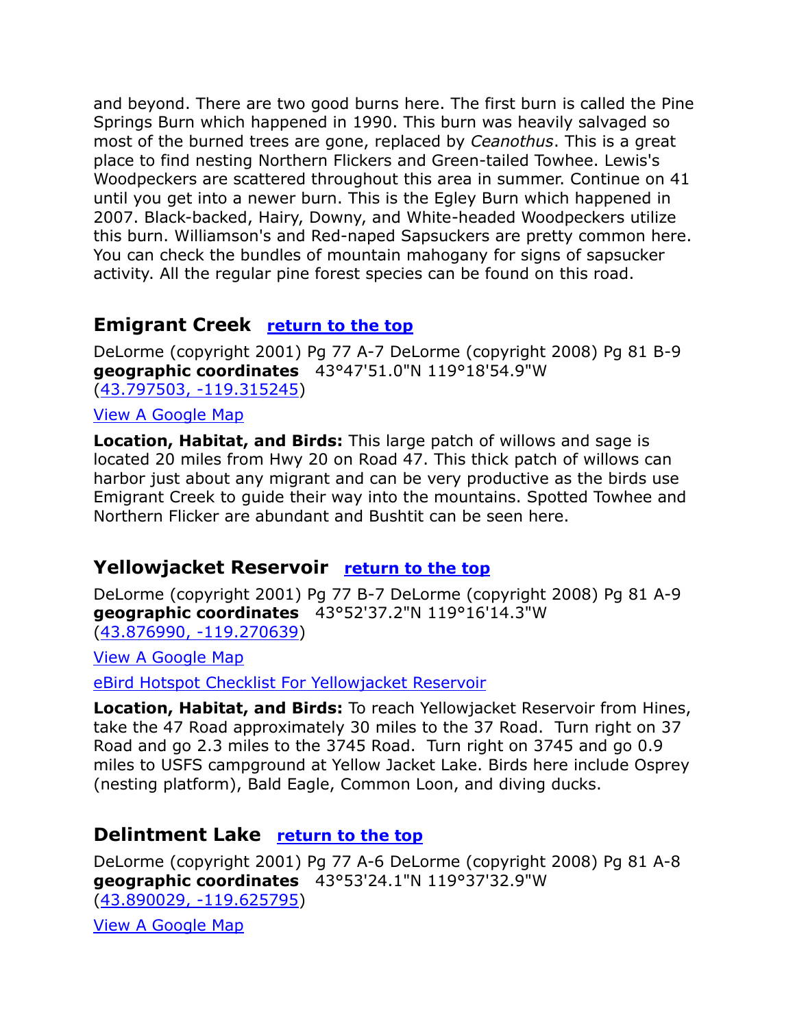and beyond. There are two good burns here. The first burn is called the Pine Springs Burn which happened in 1990. This burn was heavily salvaged so most of the burned trees are gone, replaced by *Ceanothus*. This is a great place to find nesting Northern Flickers and Green-tailed Towhee. Lewis's Woodpeckers are scattered throughout this area in summer. Continue on 41 until you get into a newer burn. This is the Egley Burn which happened in 2007. Black-backed, Hairy, Downy, and White-headed Woodpeckers utilize this burn. Williamson's and Red-naped Sapsuckers are pretty common here. You can check the bundles of mountain mahogany for signs of sapsucker activity. All the regular pine forest species can be found on this road.

#### **Emigrant Creek** return to the top

DeLorme (copyright 2001) Pg 77 A-7 DeLorme (copyright 2008) Pg 81 B-9 **geographic coordinates** 43°47'51.0"N 119°18'54.9"W [\(43.797503, -119.315245\)](https://www.google.com/maps/place/43°47)

#### [View A Google Map](http://maps.google.com/maps/ms?hl=en&ie=UTF8&msa=0&msid=108036481085398338899.00046eeb6e4a938a602fd&ll=43.757209,-119.429626&spn=0.65167,1.399384&z=10)

**Location, Habitat, and Birds:** This large patch of willows and sage is located 20 miles from Hwy 20 on Road 47. This thick patch of willows can harbor just about any migrant and can be very productive as the birds use Emigrant Creek to guide their way into the mountains. Spotted Towhee and Northern Flicker are abundant and Bushtit can be seen here.

#### **Yellowjacket Reservoir return to the top**

DeLorme (copyright 2001) Pg 77 B-7 DeLorme (copyright 2008) Pg 81 A-9 **geographic coordinates** 43°52'37.2"N 119°16'14.3"W [\(43.876990, -119.270639\)](https://www.google.com/maps/place/43°52)

[View A Google Map](http://maps.google.com/maps/ms?hl=en&ie=UTF8&msa=0&msid=108036481085398338899.00046eeb6e4a938a602fd&ll=43.757209,-119.429626&spn=0.65167,1.399384&z=10)

[eBird Hotspot Checklist For Yellowjacket Reservoir](http://ebird.org/ebird/hotspot/L2304951?yr=all&m=&rank=hc)

**Location, Habitat, and Birds:** To reach Yellowjacket Reservoir from Hines, take the 47 Road approximately 30 miles to the 37 Road. Turn right on 37 Road and go 2.3 miles to the 3745 Road. Turn right on 3745 and go 0.9 miles to USFS campground at Yellow Jacket Lake. Birds here include Osprey (nesting platform), Bald Eagle, Common Loon, and diving ducks.

#### **Delintment Lake return to the top**

DeLorme (copyright 2001) Pg 77 A-6 DeLorme (copyright 2008) Pg 81 A-8 **geographic coordinates** 43°53'24.1"N 119°37'32.9"W [\(43.890029, -119.625795\)](https://www.google.com/maps/place/43°53)

[View A Google Map](http://maps.google.com/maps/ms?hl=en&ie=UTF8&msa=0&msid=108036481085398338899.00046eeb6e4a938a602fd&ll=43.757209,-119.429626&spn=0.65167,1.399384&z=10)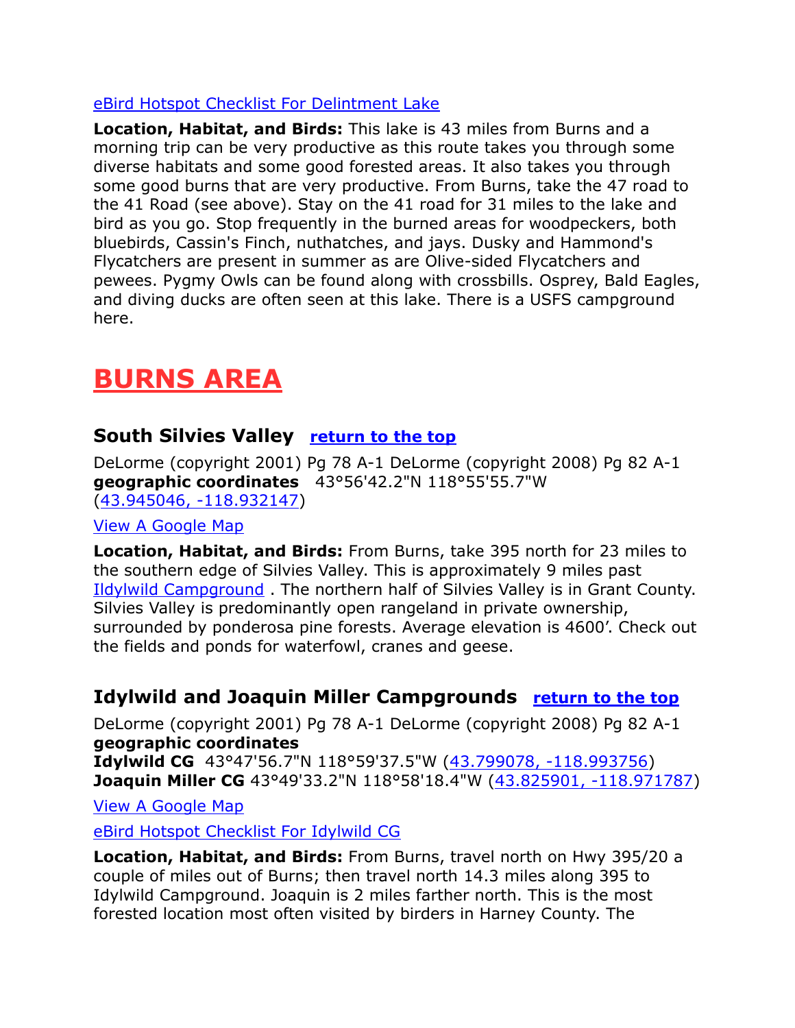#### [eBird Hotspot Checklist For Delintment Lake](http://ebird.org/ebird/hotspot/L564181?yr=all&m=&rank=hc)

**Location, Habitat, and Birds:** This lake is 43 miles from Burns and a morning trip can be very productive as this route takes you through some diverse habitats and some good forested areas. It also takes you through some good burns that are very productive. From Burns, take the 47 road to the 41 Road (see above). Stay on the 41 road for 31 miles to the lake and bird as you go. Stop frequently in the burned areas for woodpeckers, both bluebirds, Cassin's Finch, nuthatches, and jays. Dusky and Hammond's Flycatchers are present in summer as are Olive-sided Flycatchers and pewees. Pygmy Owls can be found along with crossbills. Osprey, Bald Eagles, and diving ducks are often seen at this lake. There is a USFS campground here.

# **BURNS AREA**

## **South Silvies Valley return to the top**

DeLorme (copyright 2001) Pg 78 A-1 DeLorme (copyright 2008) Pg 82 A-1 **geographic coordinates** 43°56'42.2"N 118°55'55.7"W [\(43.945046, -118.932147\)](https://www.google.com/maps/place/43°56)

[View A Google Map](http://maps.google.com/maps/ms?hl=en&ie=UTF8&msa=0&msid=108036481085398338899.00046eea23966f5ecec7b&ll=43.885027,-118.99704&spn=0.650277,1.399384&z=10)

**Location, Habitat, and Birds:** From Burns, take 395 north for 23 miles to the southern edge of Silvies Valley. This is approximately 9 miles past Ildylwild Campground . The northern half of Silvies Valley is in Grant County. Silvies Valley is predominantly open rangeland in private ownership, surrounded by ponderosa pine forests. Average elevation is 4600'. Check out the fields and ponds for waterfowl, cranes and geese.

# **Idylwild and Joaquin Miller Campgrounds return to the top**

DeLorme (copyright 2001) Pg 78 A-1 DeLorme (copyright 2008) Pg 82 A-1 **geographic coordinates Idylwild CG** 43°47'56.7"N 118°59'37.5"W [\(43.799078, -118.993756\)](https://www.google.com/maps/place/43°47) **Joaquin Miller CG** 43°49'33.2"N 118°58'18.4"W [\(43.825901, -118.971787\)](https://www.google.com/maps/place/43°49)

[View A Google Map](http://maps.google.com/maps/ms?hl=en&ie=UTF8&msa=0&msid=108036481085398338899.00046eea23966f5ecec7b&ll=43.885027,-118.99704&spn=0.650277,1.399384&z=10)

[eBird Hotspot Checklist For Idylwild CG](http://ebird.org/ebird/hotspot/L752925?yr=all&m=&rank=hc)

**Location, Habitat, and Birds:** From Burns, travel north on Hwy 395/20 a couple of miles out of Burns; then travel north 14.3 miles along 395 to Idylwild Campground. Joaquin is 2 miles farther north. This is the most forested location most often visited by birders in Harney County. The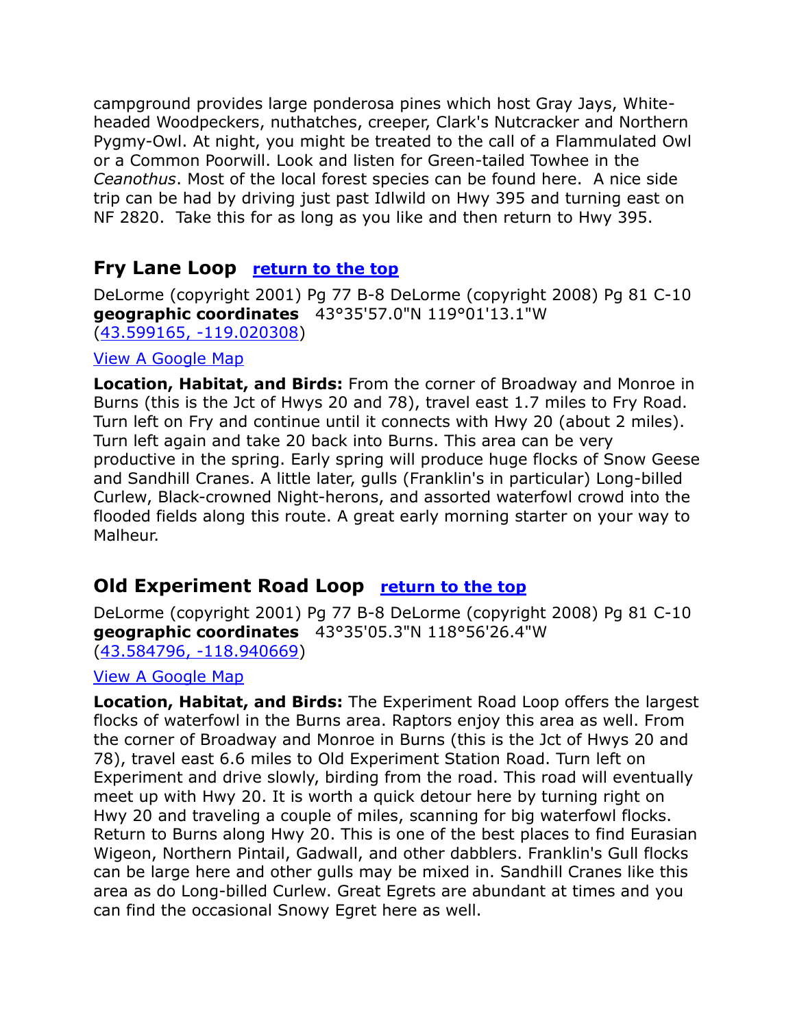campground provides large ponderosa pines which host Gray Jays, Whiteheaded Woodpeckers, nuthatches, creeper, Clark's Nutcracker and Northern Pygmy-Owl. At night, you might be treated to the call of a Flammulated Owl or a Common Poorwill. Look and listen for Green-tailed Towhee in the *Ceanothus*. Most of the local forest species can be found here. A nice side trip can be had by driving just past Idlwild on Hwy 395 and turning east on NF 2820. Take this for as long as you like and then return to Hwy 395.

### **Fry Lane Loop** return to the top

DeLorme (copyright 2001) Pg 77 B-8 DeLorme (copyright 2008) Pg 81 C-10 **geographic coordinates** 43°35'57.0"N 119°01'13.1"W [\(43.599165, -119.020308\)](https://www.google.com/maps/place/43°35)

#### [View A Google Map](http://maps.google.com/maps/ms?hl=en&ie=UTF8&msa=0&msid=108036481085398338899.00046eee44fdd35faa927&ll=43.571934,-119.071198&spn=0.326844,0.699692&z=11)

**Location, Habitat, and Birds:** From the corner of Broadway and Monroe in Burns (this is the Jct of Hwys 20 and 78), travel east 1.7 miles to Fry Road. Turn left on Fry and continue until it connects with Hwy 20 (about 2 miles). Turn left again and take 20 back into Burns. This area can be very productive in the spring. Early spring will produce huge flocks of Snow Geese and Sandhill Cranes. A little later, gulls (Franklin's in particular) Long-billed Curlew, Black-crowned Night-herons, and assorted waterfowl crowd into the flooded fields along this route. A great early morning starter on your way to Malheur.

#### **Old Experiment Road Loop return to the top**

DeLorme (copyright 2001) Pg 77 B-8 DeLorme (copyright 2008) Pg 81 C-10 **geographic coordinates** 43°35'05.3"N 118°56'26.4"W [\(43.584796, -118.940669\)](https://www.google.com/maps/place/43°35)

#### [View A Google Map](http://maps.google.com/maps/ms?hl=en&ie=UTF8&msa=0&msid=108036481085398338899.00046eee44fdd35faa927&ll=43.571934,-119.071198&spn=0.326844,0.699692&z=11)

**Location, Habitat, and Birds:** The Experiment Road Loop offers the largest flocks of waterfowl in the Burns area. Raptors enjoy this area as well. From the corner of Broadway and Monroe in Burns (this is the Jct of Hwys 20 and 78), travel east 6.6 miles to Old Experiment Station Road. Turn left on Experiment and drive slowly, birding from the road. This road will eventually meet up with Hwy 20. It is worth a quick detour here by turning right on Hwy 20 and traveling a couple of miles, scanning for big waterfowl flocks. Return to Burns along Hwy 20. This is one of the best places to find Eurasian Wigeon, Northern Pintail, Gadwall, and other dabblers. Franklin's Gull flocks can be large here and other gulls may be mixed in. Sandhill Cranes like this area as do Long-billed Curlew. Great Egrets are abundant at times and you can find the occasional Snowy Egret here as well.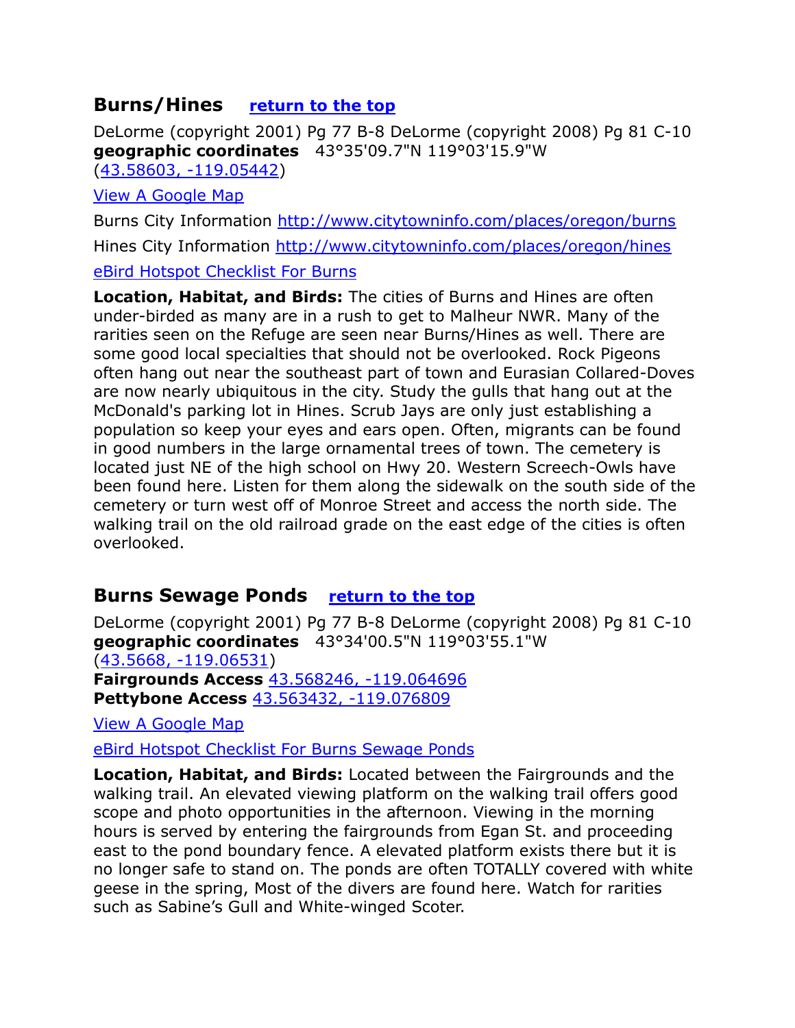### **Burns/Hines** return to the top

DeLorme (copyright 2001) Pg 77 B-8 DeLorme (copyright 2008) Pg 81 C-10 **geographic coordinates** 43°35'09.7"N 119°03'15.9"W [\(43.58603, -119.05442\)](https://www.google.com/maps/place/43°35)

[View A Google Map](http://maps.google.com/maps/ms?hl=en&ie=UTF8&msa=0&msid=108036481085398338899.00046eee44fdd35faa927&ll=43.571934,-119.071198&spn=0.326844,0.699692&z=11)

Burns City Information<http://www.citytowninfo.com/places/oregon/burns> Hines City Information<http://www.citytowninfo.com/places/oregon/hines> [eBird Hotspot Checklist For Burns](http://ebird.org/ebird/hotspot/L714407?yr=all&m=&rank=hc)

**Location, Habitat, and Birds:** The cities of Burns and Hines are often under-birded as many are in a rush to get to Malheur NWR. Many of the rarities seen on the Refuge are seen near Burns/Hines as well. There are some good local specialties that should not be overlooked. Rock Pigeons often hang out near the southeast part of town and Eurasian Collared-Doves are now nearly ubiquitous in the city. Study the gulls that hang out at the McDonald's parking lot in Hines. Scrub Jays are only just establishing a population so keep your eyes and ears open. Often, migrants can be found in good numbers in the large ornamental trees of town. The cemetery is located just NE of the high school on Hwy 20. Western Screech-Owls have been found here. Listen for them along the sidewalk on the south side of the cemetery or turn west off of Monroe Street and access the north side. The walking trail on the old railroad grade on the east edge of the cities is often overlooked.

### **Burns Sewage Ponds return to the top**

DeLorme (copyright 2001) Pg 77 B-8 DeLorme (copyright 2008) Pg 81 C-10 **geographic coordinates** 43°34'00.5"N 119°03'55.1"W [\(43.5668, -119.06531\)](https://www.google.com/maps/place/43°34) **Fairgrounds Access** [43.568246, -119.064696](https://www.google.com/maps/place/43°34)  **Pettybone Access** [43.563432, -119.076809](https://www.google.com/maps/place/43°33)

[View A Google Map](http://maps.google.com/maps/ms?hl=en&ie=UTF8&msa=0&msid=108036481085398338899.00046eee44fdd35faa927&ll=43.571934,-119.071198&spn=0.326844,0.699692&z=11)

[eBird Hotspot Checklist For Burns Sewage Ponds](http://ebird.org/ebird/hotspot/L926819?yr=all&m=&rank=hc)

**Location, Habitat, and Birds:** Located between the Fairgrounds and the walking trail. An elevated viewing platform on the walking trail offers good scope and photo opportunities in the afternoon. Viewing in the morning hours is served by entering the fairgrounds from Egan St. and proceeding east to the pond boundary fence. A elevated platform exists there but it is no longer safe to stand on. The ponds are often TOTALLY covered with white geese in the spring, Most of the divers are found here. Watch for rarities such as Sabine's Gull and White-winged Scoter.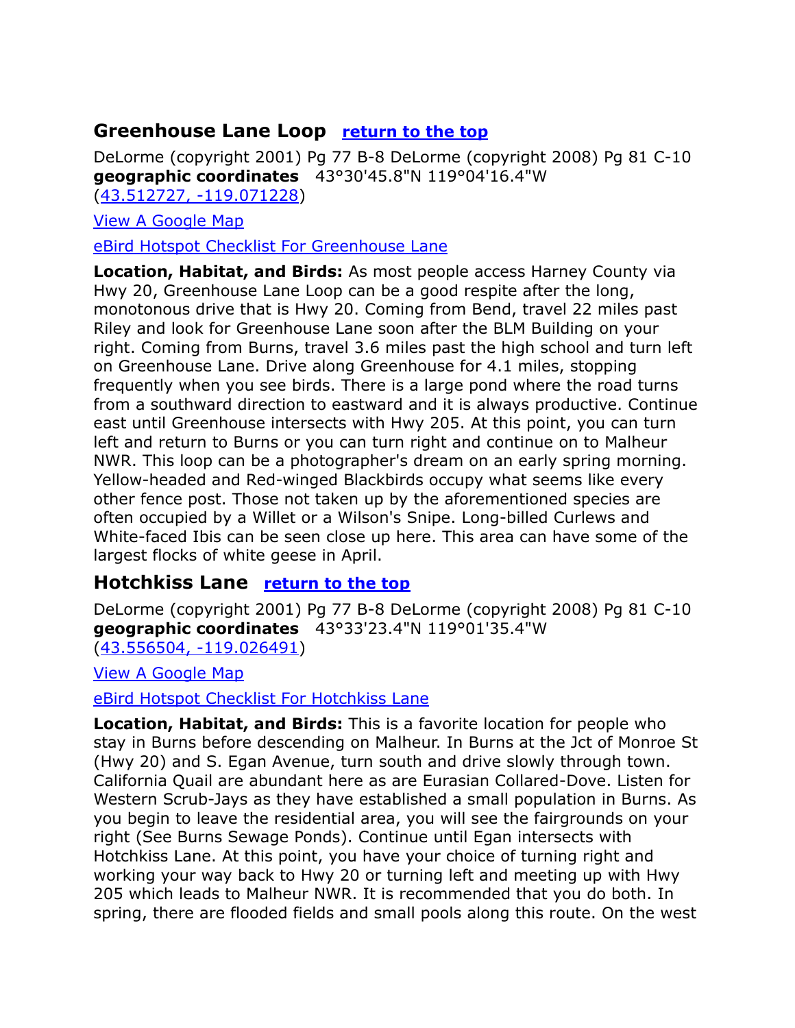### **Greenhouse Lane Loop** return to the top

DeLorme (copyright 2001) Pg 77 B-8 DeLorme (copyright 2008) Pg 81 C-10 **geographic coordinates** 43°30'45.8"N 119°04'16.4"W [\(43.512727, -119.071228\)](https://www.google.com/maps/place/43°30)

[View A Google Map](http://maps.google.com/maps/ms?hl=en&ie=UTF8&msa=0&msid=108036481085398338899.00046eee44fdd35faa927&ll=43.571934,-119.071198&spn=0.326844,0.699692&z=11)

[eBird Hotspot Checklist For Greenhouse Lane](http://ebird.org/ebird/hotspot/L1759273?yr=all&m=&rank=hc)

**Location, Habitat, and Birds:** As most people access Harney County via Hwy 20, Greenhouse Lane Loop can be a good respite after the long, monotonous drive that is Hwy 20. Coming from Bend, travel 22 miles past Riley and look for Greenhouse Lane soon after the BLM Building on your right. Coming from Burns, travel 3.6 miles past the high school and turn left on Greenhouse Lane. Drive along Greenhouse for 4.1 miles, stopping frequently when you see birds. There is a large pond where the road turns from a southward direction to eastward and it is always productive. Continue east until Greenhouse intersects with Hwy 205. At this point, you can turn left and return to Burns or you can turn right and continue on to Malheur NWR. This loop can be a photographer's dream on an early spring morning. Yellow-headed and Red-winged Blackbirds occupy what seems like every other fence post. Those not taken up by the aforementioned species are often occupied by a Willet or a Wilson's Snipe. Long-billed Curlews and White-faced Ibis can be seen close up here. This area can have some of the largest flocks of white geese in April.

#### **Hotchkiss Lane return to the top**

DeLorme (copyright 2001) Pg 77 B-8 DeLorme (copyright 2008) Pg 81 C-10 **geographic coordinates** 43°33'23.4"N 119°01'35.4"W [\(43.556504, -119.026491\)](https://www.google.com/maps/place/43°33)

[View A Google Map](http://maps.google.com/maps/ms?hl=en&ie=UTF8&msa=0&msid=108036481085398338899.00046eee44fdd35faa927&ll=43.571934,-119.071198&spn=0.326844,0.699692&z=11)

[eBird Hotspot Checklist For Hotchkiss Lane](http://ebird.org/ebird/hotspot/L3608572?yr=all&m=&rank=hc)

**Location, Habitat, and Birds:** This is a favorite location for people who stay in Burns before descending on Malheur. In Burns at the Jct of Monroe St (Hwy 20) and S. Egan Avenue, turn south and drive slowly through town. California Quail are abundant here as are Eurasian Collared-Dove. Listen for Western Scrub-Jays as they have established a small population in Burns. As you begin to leave the residential area, you will see the fairgrounds on your right (See Burns Sewage Ponds). Continue until Egan intersects with Hotchkiss Lane. At this point, you have your choice of turning right and working your way back to Hwy 20 or turning left and meeting up with Hwy 205 which leads to Malheur NWR. It is recommended that you do both. In spring, there are flooded fields and small pools along this route. On the west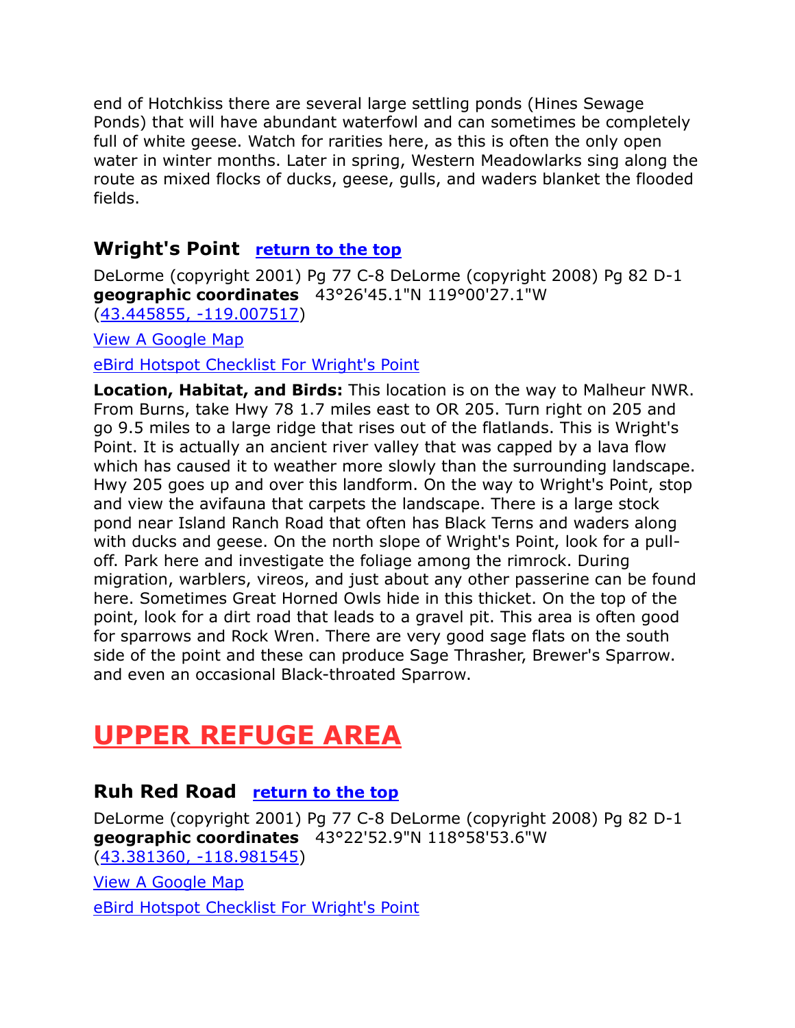end of Hotchkiss there are several large settling ponds (Hines Sewage Ponds) that will have abundant waterfowl and can sometimes be completely full of white geese. Watch for rarities here, as this is often the only open water in winter months. Later in spring, Western Meadowlarks sing along the route as mixed flocks of ducks, geese, gulls, and waders blanket the flooded fields.

#### **Wright's Point** return to the top

DeLorme (copyright 2001) Pg 77 C-8 DeLorme (copyright 2008) Pg 82 D-1 **geographic coordinates** 43°26'45.1"N 119°00'27.1"W [\(43.445855, -119.007517\)](https://www.google.com/maps/place/43°26)

[View A Google Map](http://maps.google.com/maps/ms?hl=en&ie=UTF8&msa=0&msid=108036481085398338899.00046f2c05a60b7be63e1&ll=43.328175,-118.995667&spn=0.656324,1.399384&z=10)

[eBird Hotspot Checklist For Wright's Point](http://ebird.org/ebird/hotspot/L2456697?yr=all&m=&rank=hc)

**Location, Habitat, and Birds:** This location is on the way to Malheur NWR. From Burns, take Hwy 78 1.7 miles east to OR 205. Turn right on 205 and go 9.5 miles to a large ridge that rises out of the flatlands. This is Wright's Point. It is actually an ancient river valley that was capped by a lava flow which has caused it to weather more slowly than the surrounding landscape. Hwy 205 goes up and over this landform. On the way to Wright's Point, stop and view the avifauna that carpets the landscape. There is a large stock pond near Island Ranch Road that often has Black Terns and waders along with ducks and geese. On the north slope of Wright's Point, look for a pulloff. Park here and investigate the foliage among the rimrock. During migration, warblers, vireos, and just about any other passerine can be found here. Sometimes Great Horned Owls hide in this thicket. On the top of the point, look for a dirt road that leads to a gravel pit. This area is often good for sparrows and Rock Wren. There are very good sage flats on the south side of the point and these can produce Sage Thrasher, Brewer's Sparrow. and even an occasional Black-throated Sparrow.

# **UPPER REFUGE AREA**

#### **Ruh Red Road return to the top**

DeLorme (copyright 2001) Pg 77 C-8 DeLorme (copyright 2008) Pg 82 D-1 **geographic coordinates** 43°22'52.9"N 118°58'53.6"W [\(43.381360, -118.981545\)](https://www.google.com/maps/place/43°22)

[View A Google Map](http://maps.google.com/maps/ms?hl=en&ie=UTF8&msa=0&msid=108036481085398338899.00046f2c05a60b7be63e1&ll=43.328175,-118.995667&spn=0.656324,1.399384&z=10)

[eBird Hotspot Checklist For Wright's Point](http://ebird.org/ebird/hotspot/L2456697?yr=all&m=&rank=hc)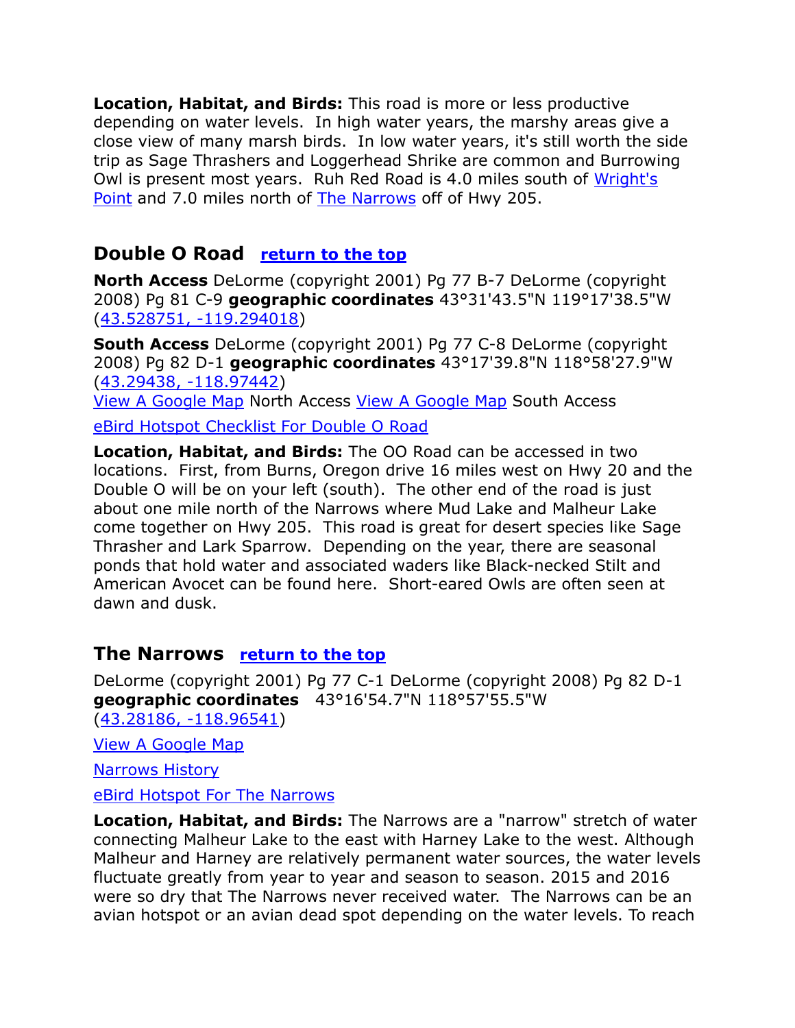**Location, Habitat, and Birds:** This road is more or less productive depending on water levels. In high water years, the marshy areas give a close view of many marsh birds. In low water years, it's still worth the side trip as Sage Thrashers and Loggerhead Shrike are common and Burrowing Owl is present most years. Ruh Red Road is 4.0 miles south of Wright's Point and 7.0 miles north of The Narrows off of Hwy 205.

#### **Double O Road return to the top**

**North Access** DeLorme (copyright 2001) Pg 77 B-7 DeLorme (copyright 2008) Pg 81 C-9 **geographic coordinates** 43°31'43.5"N 119°17'38.5"W [\(43.528751, -119.294018\)](https://www.google.com/maps/place/43°31)

**South Access** DeLorme (copyright 2001) Pg 77 C-8 DeLorme (copyright 2008) Pg 82 D-1 **geographic coordinates** 43°17'39.8"N 118°58'27.9"W [\(43.29438, -118.97442\)](https://www.google.com/maps/place/43°17)

[View A Google Map](http://maps.google.com/maps/ms?hl=en&ie=UTF8&msa=0&msid=108036481085398338899.00046eea922986e8eeaa0&ll=43.54158,-119.503784&spn=0.654014,1.399384&z=10) North Access [View A Google Map](http://maps.google.com/maps/ms?hl=en&ie=UTF8&msa=0&msid=108036481085398338899.00046f2c05a60b7be63e1&ll=43.328175,-118.995667&spn=0.656324,1.399384&z=10) South Access

[eBird Hotspot Checklist For Double O Road](http://ebird.org/ebird/hotspot/L2459440?yr=all&m=&rank=hc)

**Location, Habitat, and Birds:** The OO Road can be accessed in two locations. First, from Burns, Oregon drive 16 miles west on Hwy 20 and the Double O will be on your left (south). The other end of the road is just about one mile north of the Narrows where Mud Lake and Malheur Lake come together on Hwy 205. This road is great for desert species like Sage Thrasher and Lark Sparrow. Depending on the year, there are seasonal ponds that hold water and associated waders like Black-necked Stilt and American Avocet can be found here. Short-eared Owls are often seen at dawn and dusk.

#### **The Narrows** return to the top

DeLorme (copyright 2001) Pg 77 C-1 DeLorme (copyright 2008) Pg 82 D-1 **geographic coordinates** 43°16'54.7"N 118°57'55.5"W [\(43.28186, -118.96541\)](https://www.google.com/maps/place/43°16)

[View A Google Map](http://maps.google.com/maps/ms?hl=en&ie=UTF8&msa=0&msid=108036481085398338899.00046f2c05a60b7be63e1&ll=43.328175,-118.995667&spn=0.656324,1.399384&z=10)

[Narrows History](http://www.ghosttowns.com/states/or/narrows.html)

[eBird Hotspot For The Narrows](http://ebird.org/ebird/hotspot/L518546?yr=all&m=&rank=hc)

**Location, Habitat, and Birds:** The Narrows are a "narrow" stretch of water connecting Malheur Lake to the east with Harney Lake to the west. Although Malheur and Harney are relatively permanent water sources, the water levels fluctuate greatly from year to year and season to season. 2015 and 2016 were so dry that The Narrows never received water. The Narrows can be an avian hotspot or an avian dead spot depending on the water levels. To reach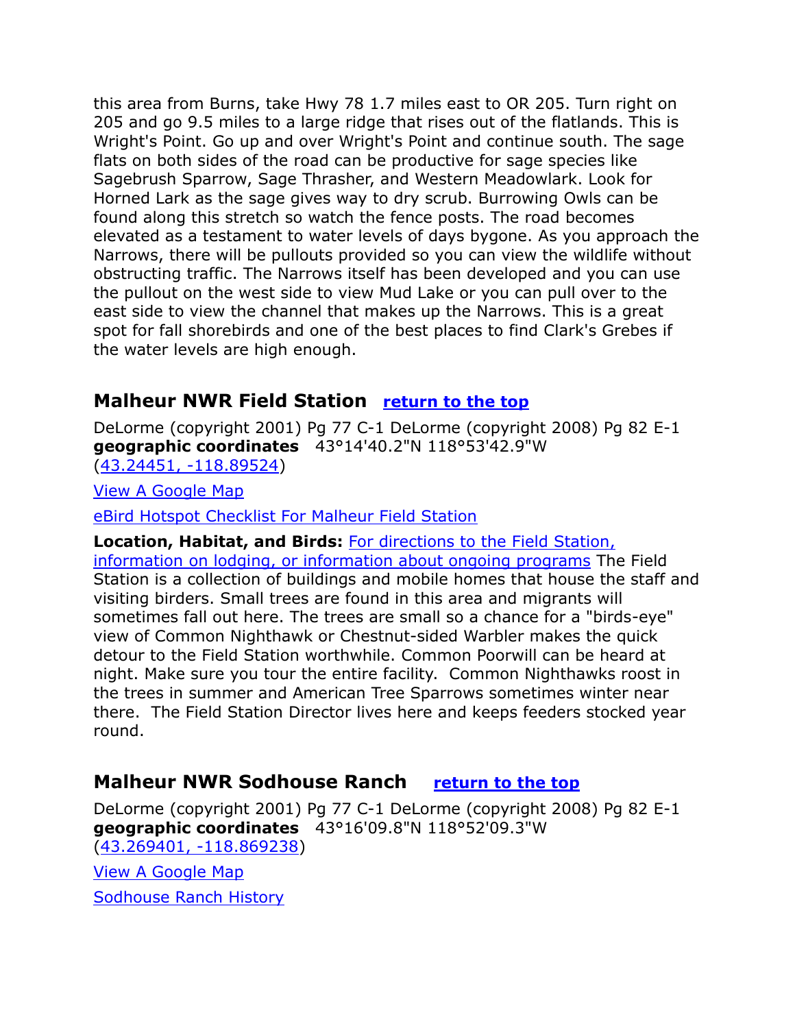this area from Burns, take Hwy 78 1.7 miles east to OR 205. Turn right on 205 and go 9.5 miles to a large ridge that rises out of the flatlands. This is Wright's Point. Go up and over Wright's Point and continue south. The sage flats on both sides of the road can be productive for sage species like Sagebrush Sparrow, Sage Thrasher, and Western Meadowlark. Look for Horned Lark as the sage gives way to dry scrub. Burrowing Owls can be found along this stretch so watch the fence posts. The road becomes elevated as a testament to water levels of days bygone. As you approach the Narrows, there will be pullouts provided so you can view the wildlife without obstructing traffic. The Narrows itself has been developed and you can use the pullout on the west side to view Mud Lake or you can pull over to the east side to view the channel that makes up the Narrows. This is a great spot for fall shorebirds and one of the best places to find Clark's Grebes if the water levels are high enough.

# **Malheur NWR Field Station** return to the top

DeLorme (copyright 2001) Pg 77 C-1 DeLorme (copyright 2008) Pg 82 E-1 **geographic coordinates** 43°14'40.2"N 118°53'42.9"W [\(43.24451, -118.89524\)](https://www.google.com/maps/place/43°14)

[View A Google Map](http://maps.google.com/maps/ms?hl=en&ie=UTF8&msa=0&msid=108036481085398338899.00046de5ca8eec90d86b8&ll=43.251955,-118.857994&spn=0.095397,0.264187&z=13)

[eBird Hotspot Checklist For Malheur Field Station](http://ebird.org/ebird/hotspot/L732337?yr=all&m=&rank=hc)

**Location, Habitat, and Birds:** [For directions to the Field Station,](http://www.malheurfieldstation.org/index.html)  [information on lodging, or information about ongoing programs](http://www.malheurfieldstation.org/index.html) The Field Station is a collection of buildings and mobile homes that house the staff and visiting birders. Small trees are found in this area and migrants will sometimes fall out here. The trees are small so a chance for a "birds-eye" view of Common Nighthawk or Chestnut-sided Warbler makes the quick detour to the Field Station worthwhile. Common Poorwill can be heard at night. Make sure you tour the entire facility. Common Nighthawks roost in the trees in summer and American Tree Sparrows sometimes winter near there. The Field Station Director lives here and keeps feeders stocked year round.

#### **Malheur NWR Sodhouse Ranch return to the top**

DeLorme (copyright 2001) Pg 77 C-1 DeLorme (copyright 2008) Pg 82 E-1 **geographic coordinates** 43°16'09.8"N 118°52'09.3"W [\(43.269401, -118.869238\)](https://www.google.com/maps/place/43°16)

[View A Google Map](http://maps.google.com/maps/ms?hl=en&ie=UTF8&msa=0&msid=108036481085398338899.00046de5ca8eec90d86b8&ll=43.251955,-118.857994&spn=0.095397,0.264187&z=13)

Sodhouse [Ranch History](https://en.wikipedia.org/wiki/Sod_House_Ranch)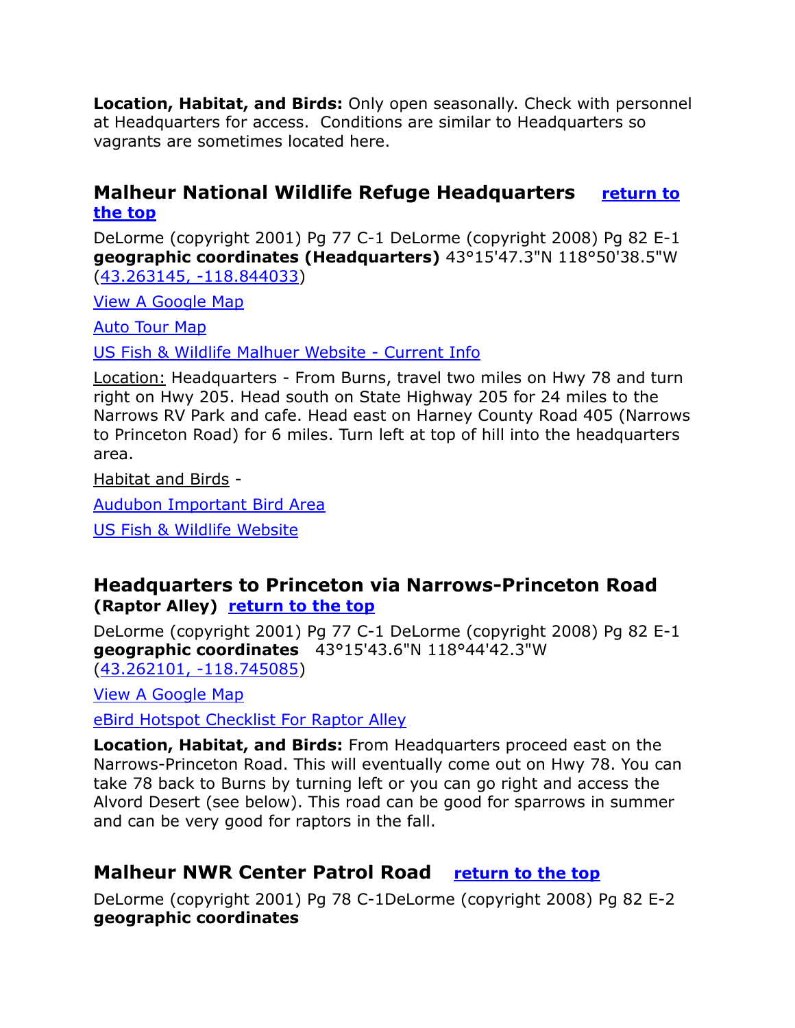**Location, Habitat, and Birds:** Only open seasonally. Check with personnel at Headquarters for access. Conditions are similar to Headquarters so vagrants are sometimes located here.

#### **Malheur National Wildlife Refuge Headquarters** return to **the top**

DeLorme (copyright 2001) Pg 77 C-1 DeLorme (copyright 2008) Pg 82 E-1 **geographic coordinates (Headquarters)** 43°15'47.3"N 118°50'38.5"W [\(43.263145, -118.844033\)](https://www.google.com/maps/place/43°15)

[View A Google Map](http://maps.google.com/maps/ms?hl=en&ie=UTF8&msa=0&msid=108036481085398338899.00046de5ca8eec90d86b8&ll=43.251955,-118.857994&spn=0.095397,0.264187&z=13)

[Auto Tour Map](https://www.fws.gov/uploadedFiles/Region_1/NWRS/Zone_2/Malheur/Documents/tour_route_map.pdf)

[US Fish & Wildlife Malhuer Website -](https://www.fws.gov/refuge/malheur/) Current Info

Location: Headquarters - From Burns, travel two miles on Hwy 78 and turn right on Hwy 205. Head south on State Highway 205 for 24 miles to the Narrows RV Park and cafe. Head east on Harney County Road 405 (Narrows to Princeton Road) for 6 miles. Turn left at top of hill into the headquarters area.

Habitat and Birds -

[Audubon Important Bird Area](http://www.audubonportland.org/issues/statewide/iba/iba-map/malheur) 

[US Fish & Wildlife Website](http://www.fws.gov/Refuges/profiles/index.cfm?id=13570)

#### **Headquarters to Princeton via Narrows-Princeton Road (Raptor Alley)** return to the top

DeLorme (copyright 2001) Pg 77 C-1 DeLorme (copyright 2008) Pg 82 E-1 **geographic coordinates** 43°15'43.6"N 118°44'42.3"W [\(43.262101, -118.745085\)](https://www.google.com/maps/place/43°15)

[View A Google Map](http://maps.google.com/maps/ms?hl=en&ie=UTF8&msa=0&msid=108036481085398338899.00046de5ca8eec90d86b8&ll=43.251955,-118.857994&spn=0.095397,0.264187&z=13)

[eBird Hotspot Checklist For Raptor Alley](http://ebird.org/ebird/hotspot/L1320178?yr=all&m=&rank=hc)

**Location, Habitat, and Birds:** From Headquarters proceed east on the Narrows-Princeton Road. This will eventually come out on Hwy 78. You can take 78 back to Burns by turning left or you can go right and access the Alvord Desert (see below). This road can be good for sparrows in summer and can be very good for raptors in the fall.

# **Malheur NWR Center Patrol Road return to the top**

DeLorme (copyright 2001) Pg 78 C-1DeLorme (copyright 2008) Pg 82 E-2 **geographic coordinates**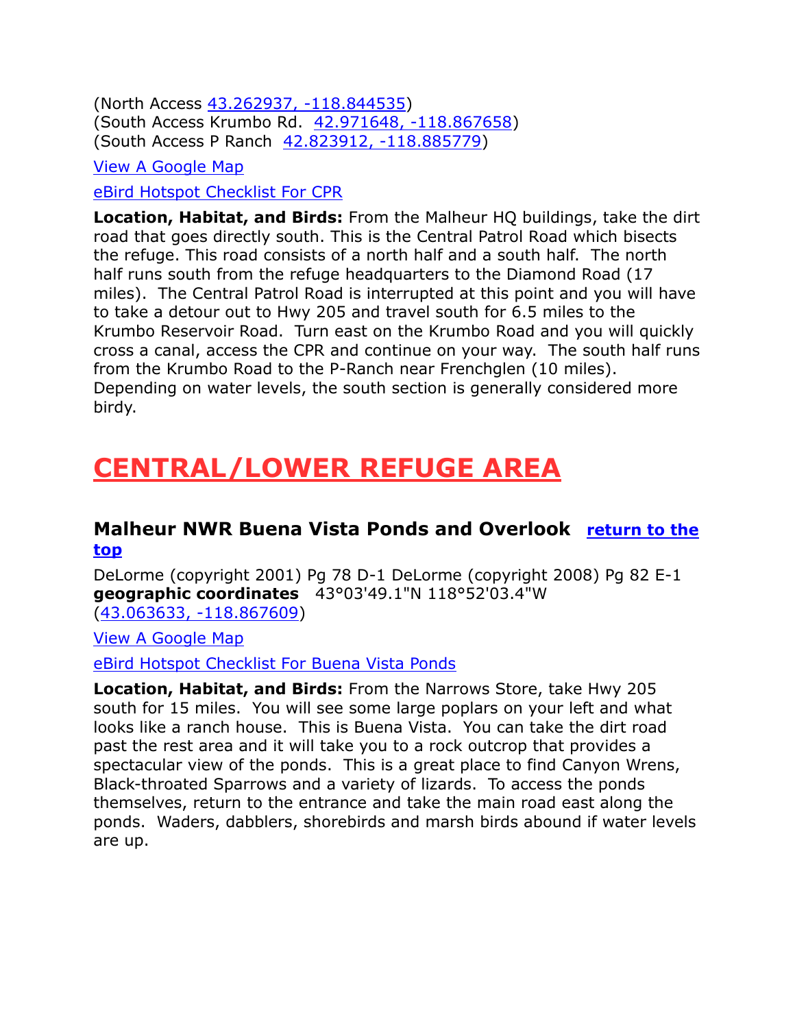(North Access [43.262937, -118.844535\)](https://www.google.com/maps/place/43°15) (South Access Krumbo Rd. [42.971648, -118.867658\)](https://www.google.com/maps/place/42°58) (South Access P Ranch [42.823912, -118.885779\)](https://www.google.com/maps/place/42°49)

[View A Google Map](http://maps.google.com/maps/ms?hl=en&ie=UTF8&msa=0&msid=108036481085398338899.00046de5ca8eec90d86b8&ll=43.251955,-118.857994&spn=0.095397,0.264187&z=13)

[eBird Hotspot Checklist For CPR](http://ebird.org/ebird/hotspot/L753048?yr=all&m=&rank=hc)

**Location, Habitat, and Birds:** From the Malheur HQ buildings, take the dirt road that goes directly south. This is the Central Patrol Road which bisects the refuge. This road consists of a north half and a south half. The north half runs south from the refuge headquarters to the Diamond Road (17 miles). The Central Patrol Road is interrupted at this point and you will have to take a detour out to Hwy 205 and travel south for 6.5 miles to the Krumbo Reservoir Road. Turn east on the Krumbo Road and you will quickly cross a canal, access the CPR and continue on your way. The south half runs from the Krumbo Road to the P-Ranch near Frenchglen (10 miles). Depending on water levels, the south section is generally considered more birdy.

# **CENTRAL/LOWER REFUGE AREA**

#### **Malheur NWR Buena Vista Ponds and Overlook return to the top**

DeLorme (copyright 2001) Pg 78 D-1 DeLorme (copyright 2008) Pg 82 E-1 **geographic coordinates** 43°03'49.1"N 118°52'03.4"W [\(43.063633, -118.867609\)](https://www.google.com/maps/place/43°03)

[View A Google Map](http://maps.google.com/maps/ms?hl=en&ie=UTF8&msa=0&msid=108036481085398338899.00046f2d1a7bbf38d5c9d&ll=43.062429,-118.859882&spn=0.0412,0.087461&z=14)

[eBird Hotspot Checklist For Buena Vista Ponds](http://ebird.org/ebird/hotspot/L614015?yr=all&m=&rank=hc)

**Location, Habitat, and Birds:** From the Narrows Store, take Hwy 205 south for 15 miles. You will see some large poplars on your left and what looks like a ranch house. This is Buena Vista. You can take the dirt road past the rest area and it will take you to a rock outcrop that provides a spectacular view of the ponds. This is a great place to find Canyon Wrens, Black-throated Sparrows and a variety of lizards. To access the ponds themselves, return to the entrance and take the main road east along the ponds. Waders, dabblers, shorebirds and marsh birds abound if water levels are up.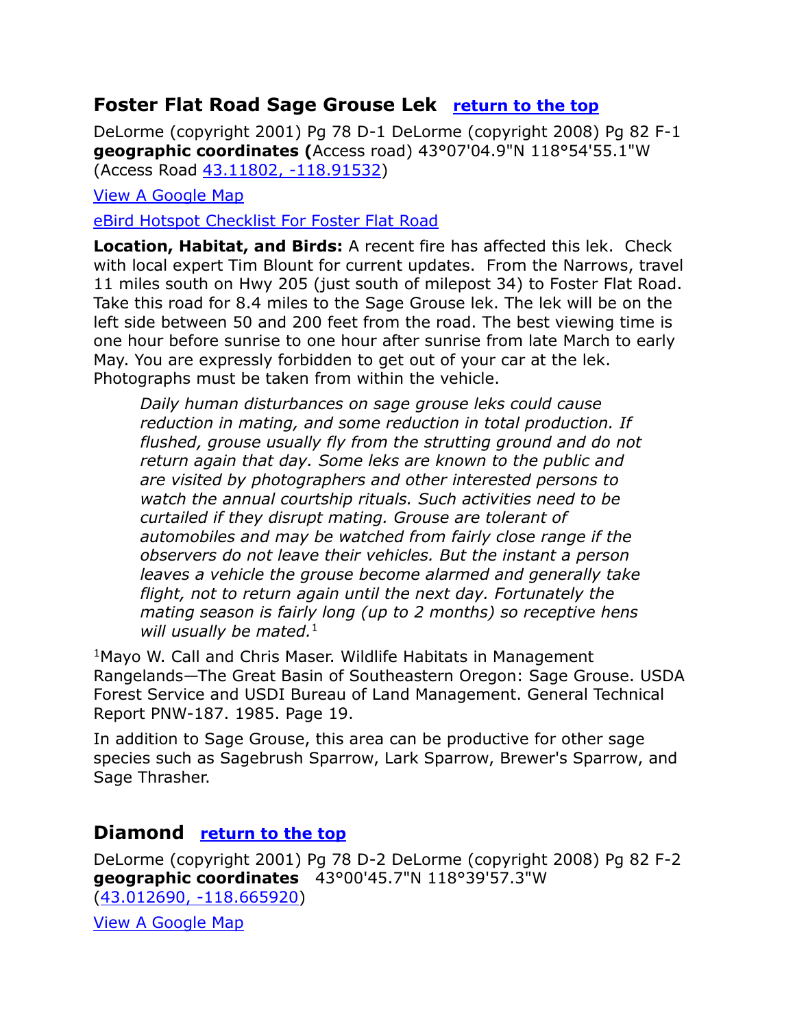## **Foster Flat Road Sage Grouse Lek** return to the top

DeLorme (copyright 2001) Pg 78 D-1 DeLorme (copyright 2008) Pg 82 F-1 **geographic coordinates (**Access road) 43°07'04.9"N 118°54'55.1"W (Access Road [43.11802, -118.91532\)](https://www.google.com/maps/place/43°07)

[View A Google Map](http://maps.google.com/maps/ms?hl=en&ie=UTF8&msa=0&msid=108036481085398338899.00046f50e740ac66fdcba&ll=43.118277,-118.915329&spn=0.047803,0.132093&z=12)

[eBird Hotspot Checklist For Foster Flat Road](http://ebird.org/ebird/hotspot/L1174311?yr=all&m=&rank=hc)

**Location, Habitat, and Birds:** A recent fire has affected this lek. Check with local expert Tim Blount for current updates. From the Narrows, travel 11 miles south on Hwy 205 (just south of milepost 34) to Foster Flat Road. Take this road for 8.4 miles to the Sage Grouse lek. The lek will be on the left side between 50 and 200 feet from the road. The best viewing time is one hour before sunrise to one hour after sunrise from late March to early May. You are expressly forbidden to get out of your car at the lek. Photographs must be taken from within the vehicle.

*Daily human disturbances on sage grouse leks could cause reduction in mating, and some reduction in total production. If flushed, grouse usually fly from the strutting ground and do not return again that day. Some leks are known to the public and are visited by photographers and other interested persons to watch the annual courtship rituals. Such activities need to be curtailed if they disrupt mating. Grouse are tolerant of automobiles and may be watched from fairly close range if the observers do not leave their vehicles. But the instant a person leaves a vehicle the grouse become alarmed and generally take flight, not to return again until the next day. Fortunately the mating season is fairly long (up to 2 months) so receptive hens will usually be mated.*<sup>1</sup>

<sup>1</sup>Mayo W. Call and Chris Maser. Wildlife Habitats in Management Rangelands—The Great Basin of Southeastern Oregon: Sage Grouse. USDA Forest Service and USDI Bureau of Land Management. General Technical Report PNW-187. 1985. Page 19.

In addition to Sage Grouse, this area can be productive for other sage species such as Sagebrush Sparrow, Lark Sparrow, Brewer's Sparrow, and Sage Thrasher.

### **Diamond return to the top**

DeLorme (copyright 2001) Pg 78 D-2 DeLorme (copyright 2008) Pg 82 F-2 **geographic coordinates** 43°00'45.7"N 118°39'57.3"W [\(43.012690, -118.665920\)](https://www.google.com/maps/place/43°00)

[View A Google Map](http://maps.google.com/maps/ms?hl=en&ie=UTF8&msa=0&msid=108036481085398338899.00046ee9e1bb69f56ad84&ll=43.105996,-118.703842&spn=0.329362,0.699692&z=11)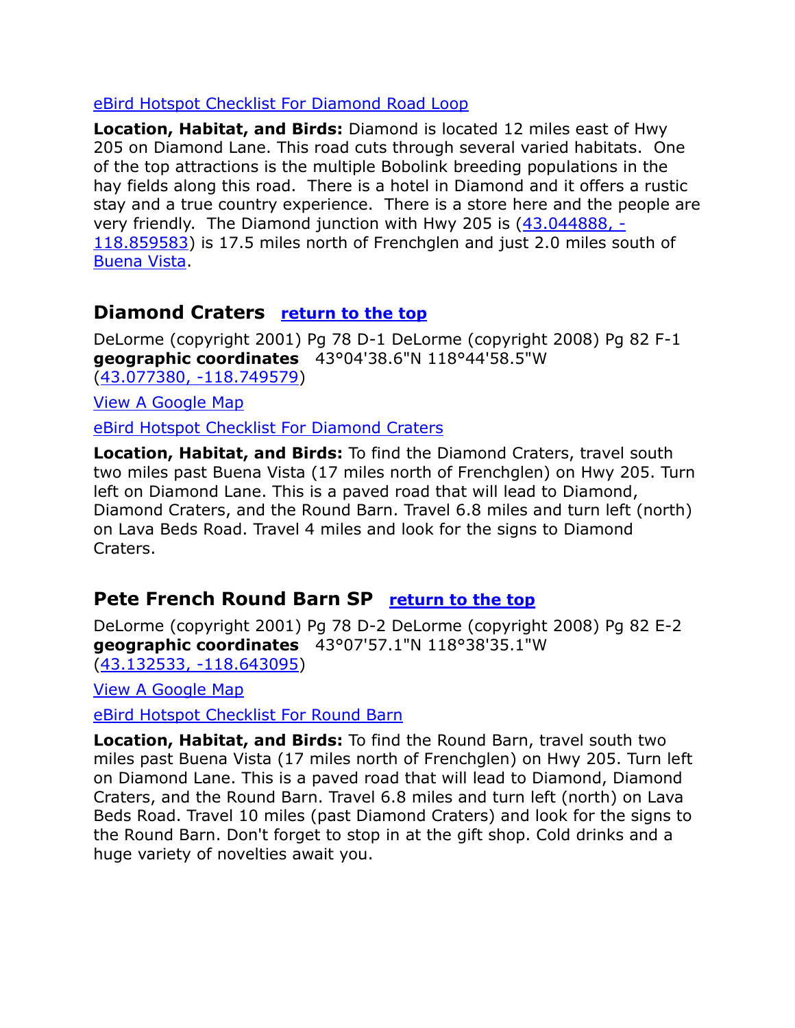#### [eBird Hotspot Checklist For Diamond Road Loop](http://ebird.org/ebird/hotspot/L743363?yr=all&m=&rank=hc)

**Location, Habitat, and Birds:** Diamond is located 12 miles east of Hwy 205 on Diamond Lane. This road cuts through several varied habitats. One of the top attractions is the multiple Bobolink breeding populations in the hay fields along this road. There is a hotel in Diamond and it offers a rustic stay and a true country experience. There is a store here and the people are very friendly. The Diamond junction with Hwy 205 is [\(43.044888, -](https://www.google.com/maps/place/43°02) [118.859583\)](https://www.google.com/maps/place/43°02) is 17.5 miles north of Frenchglen and just 2.0 miles south of Buena Vista.

#### **Diamond Craters return to the top**

DeLorme (copyright 2001) Pg 78 D-1 DeLorme (copyright 2008) Pg 82 F-1 **geographic coordinates** 43°04'38.6"N 118°44'58.5"W [\(43.077380, -118.749579\)](https://www.google.com/maps/place/43°04)

[View A Google Map](http://maps.google.com/maps/ms?hl=en&ie=UTF8&msa=0&msid=108036481085398338899.00046ee9e1bb69f56ad84&ll=43.105996,-118.703842&spn=0.329362,0.699692&z=11)

[eBird Hotspot Checklist For Diamond Craters](http://ebird.org/ebird/hotspot/L915760?yr=all&m=&rank=hc)

**Location, Habitat, and Birds:** To find the Diamond Craters, travel south two miles past Buena Vista (17 miles north of Frenchglen) on Hwy 205. Turn left on Diamond Lane. This is a paved road that will lead to Diamond, Diamond Craters, and the Round Barn. Travel 6.8 miles and turn left (north) on Lava Beds Road. Travel 4 miles and look for the signs to Diamond Craters.

# **Pete French Round Barn SP** return to the top

DeLorme (copyright 2001) Pg 78 D-2 DeLorme (copyright 2008) Pg 82 E-2 **geographic coordinates** 43°07'57.1"N 118°38'35.1"W [\(43.132533, -118.643095\)](https://www.google.com/maps/place/43°07)

[View A Google Map](http://maps.google.com/maps/ms?hl=en&ie=UTF8&msa=0&msid=108036481085398338899.00046ee9e1bb69f56ad84&ll=43.105996,-118.703842&spn=0.329362,0.699692&z=11)

[eBird Hotspot Checklist For Round Barn](http://ebird.org/ebird/hotspot/L1180525?yr=all&m=&rank=hc)

**Location, Habitat, and Birds:** To find the Round Barn, travel south two miles past Buena Vista (17 miles north of Frenchglen) on Hwy 205. Turn left on Diamond Lane. This is a paved road that will lead to Diamond, Diamond Craters, and the Round Barn. Travel 6.8 miles and turn left (north) on Lava Beds Road. Travel 10 miles (past Diamond Craters) and look for the signs to the Round Barn. Don't forget to stop in at the gift shop. Cold drinks and a huge variety of novelties await you.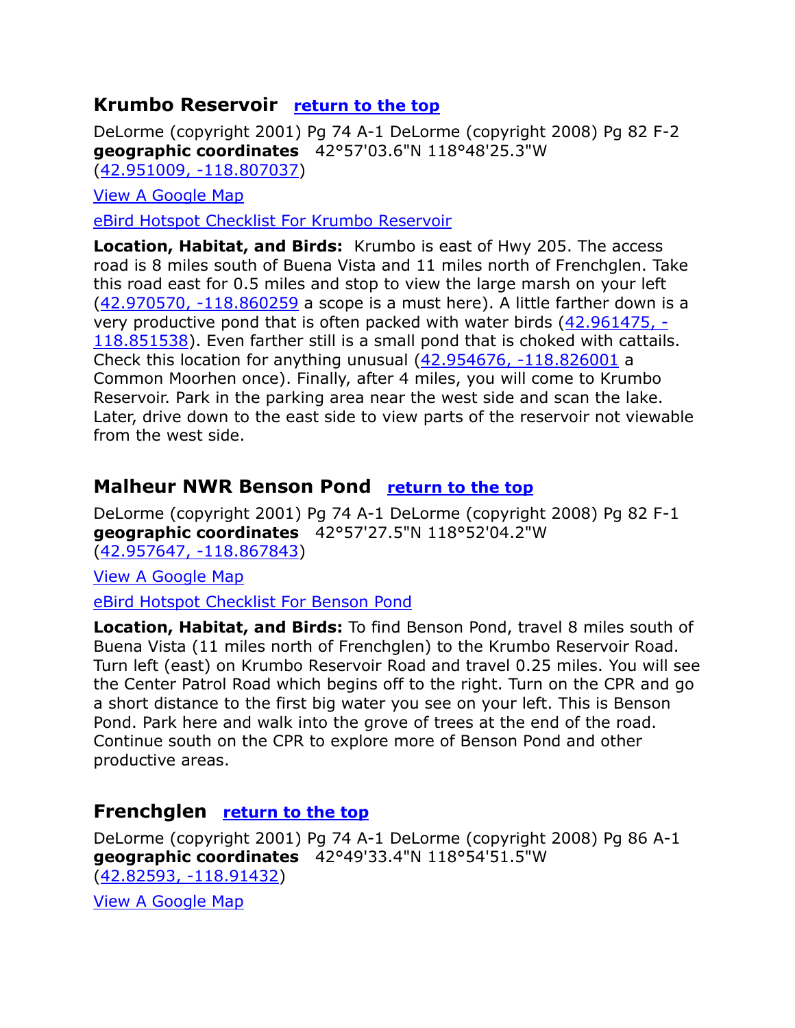### **Krumbo Reservoir** return to the top

DeLorme (copyright 2001) Pg 74 A-1 DeLorme (copyright 2008) Pg 82 F-2 **geographic coordinates** 42°57'03.6"N 118°48'25.3"W [\(42.951009, -118.807037\)](https://www.google.com/maps/place/42°57)

[View A Google Map](http://maps.google.com/maps/ms?hl=en&ie=UTF8&msa=0&ll=42.961196,-118.775768&spn=0.095851,0.264187&z=13&msid=108036481085398338899.00046ef00dc38a7215654)

[eBird Hotspot Checklist For Krumbo Reservoir](http://ebird.org/ebird/hotspot/L743054?yr=all&m=&rank=hc)

**Location, Habitat, and Birds:** Krumbo is east of Hwy 205. The access road is 8 miles south of Buena Vista and 11 miles north of Frenchglen. Take this road east for 0.5 miles and stop to view the large marsh on your left [\(42.970570, -118.860259](https://www.google.com/maps/place/42°58) a scope is a must here). A little farther down is a very productive pond that is often packed with water birds [\(42.961475, -](https://www.google.com/maps/place/42°57) [118.851538\)](https://www.google.com/maps/place/42°57). Even farther still is a small pond that is choked with cattails. Check this location for anything unusual [\(42.954676, -118.826001](https://www.google.com/maps/place/42°57) a Common Moorhen once). Finally, after 4 miles, you will come to Krumbo Reservoir. Park in the parking area near the west side and scan the lake. Later, drive down to the east side to view parts of the reservoir not viewable from the west side.

# **Malheur NWR Benson Pond** return to the top

DeLorme (copyright 2001) Pg 74 A-1 DeLorme (copyright 2008) Pg 82 F-1 **geographic coordinates** 42°57'27.5"N 118°52'04.2"W [\(42.957647, -118.867843\)](https://www.google.com/maps/place/42°57)

[View A Google Map](http://maps.google.com/maps/ms?hl=en&ie=UTF8&msa=0&msid=108036481085398338899.00046f3e72c87448e6ae6&ll=42.955669,-118.872757&spn=0.165085,0.349846&z=12)

[eBird Hotspot Checklist For Benson Pond](http://ebird.org/ebird/hotspot/L740752?yr=all&m=&rank=hc)

**Location, Habitat, and Birds:** To find Benson Pond, travel 8 miles south of Buena Vista (11 miles north of Frenchglen) to the Krumbo Reservoir Road. Turn left (east) on Krumbo Reservoir Road and travel 0.25 miles. You will see the Center Patrol Road which begins off to the right. Turn on the CPR and go a short distance to the first big water you see on your left. This is Benson Pond. Park here and walk into the grove of trees at the end of the road. Continue south on the CPR to explore more of Benson Pond and other productive areas.

### **Frenchglen** return to the top

DeLorme (copyright 2001) Pg 74 A-1 DeLorme (copyright 2008) Pg 86 A-1 **geographic coordinates** 42°49'33.4"N 118°54'51.5"W [\(42.82593, -118.91432\)](https://www.google.com/maps/place/42°49)

[View A Google Map](http://maps.google.com/maps/ms?hl=en&ie=UTF8&msa=0&ll=42.824774,-118.910136&spn=0.022977,0.027337&z=15&msid=108036481085398338899.00046dfea82ee9b74f863)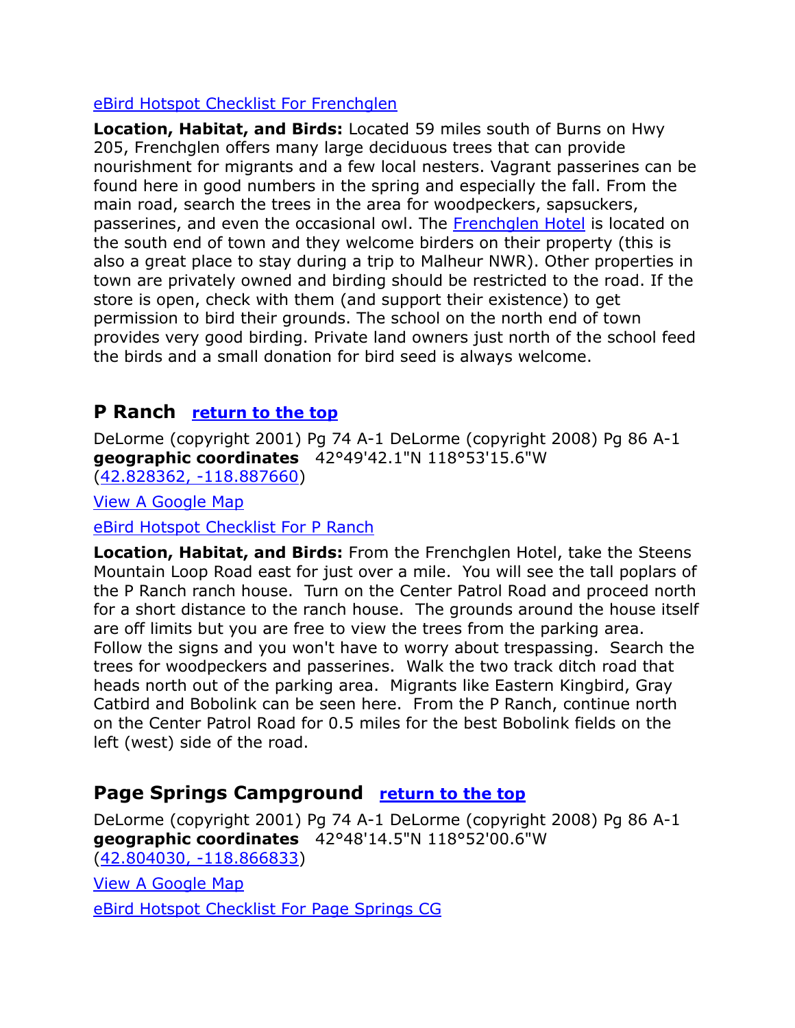#### [eBird Hotspot Checklist For Frenchglen](http://ebird.org/ebird/hotspot/L294672?yr=all&m=&rank=hc)

**Location, Habitat, and Birds:** Located 59 miles south of Burns on Hwy 205, Frenchglen offers many large deciduous trees that can provide nourishment for migrants and a few local nesters. Vagrant passerines can be found here in good numbers in the spring and especially the fall. From the main road, search the trees in the area for woodpeckers, sapsuckers, passerines, and even the occasional owl. The [Frenchglen Hotel](http://www.frenchglenhotel.com/) is located on the south end of town and they welcome birders on their property (this is also a great place to stay during a trip to Malheur NWR). Other properties in town are privately owned and birding should be restricted to the road. If the store is open, check with them (and support their existence) to get permission to bird their grounds. The school on the north end of town provides very good birding. Private land owners just north of the school feed the birds and a small donation for bird seed is always welcome.

### **P** Ranch return to the top

DeLorme (copyright 2001) Pg 74 A-1 DeLorme (copyright 2008) Pg 86 A-1 **geographic coordinates** 42°49'42.1"N 118°53'15.6"W [\(42.828362, -118.887660\)](https://www.google.com/maps/place/42°49)

[View A Google Map](http://maps.google.com/maps/ms?hl=en&ie=UTF8&msa=0&ll=42.824774,-118.910136&spn=0.022977,0.027337&z=15&msid=108036481085398338899.00046dfea82ee9b74f863)

[eBird Hotspot Checklist For P Ranch](http://ebird.org/ebird/hotspot/L776349?yr=all&m=&rank=hc)

**Location, Habitat, and Birds:** From the Frenchglen Hotel, take the Steens Mountain Loop Road east for just over a mile. You will see the tall poplars of the P Ranch ranch house. Turn on the Center Patrol Road and proceed north for a short distance to the ranch house. The grounds around the house itself are off limits but you are free to view the trees from the parking area. Follow the signs and you won't have to worry about trespassing. Search the trees for woodpeckers and passerines. Walk the two track ditch road that heads north out of the parking area. Migrants like Eastern Kingbird, Gray Catbird and Bobolink can be seen here. From the P Ranch, continue north on the Center Patrol Road for 0.5 miles for the best Bobolink fields on the left (west) side of the road.

### **Page Springs Campground return to the top**

DeLorme (copyright 2001) Pg 74 A-1 DeLorme (copyright 2008) Pg 86 A-1 **geographic coordinates** 42°48'14.5"N 118°52'00.6"W [\(42.804030, -118.866833\)](https://www.google.com/maps/place/42°48)

[View A Google Map](http://maps.google.com/maps/ms?hl=en&ie=UTF8&msa=0&ll=42.824774,-118.910136&spn=0.022977,0.027337&z=15&msid=108036481085398338899.00046dfea82ee9b74f863) [eBird Hotspot Checklist For Page Springs CG](http://ebird.org/ebird/hotspot/L776349?yr=all&m=&rank=hc)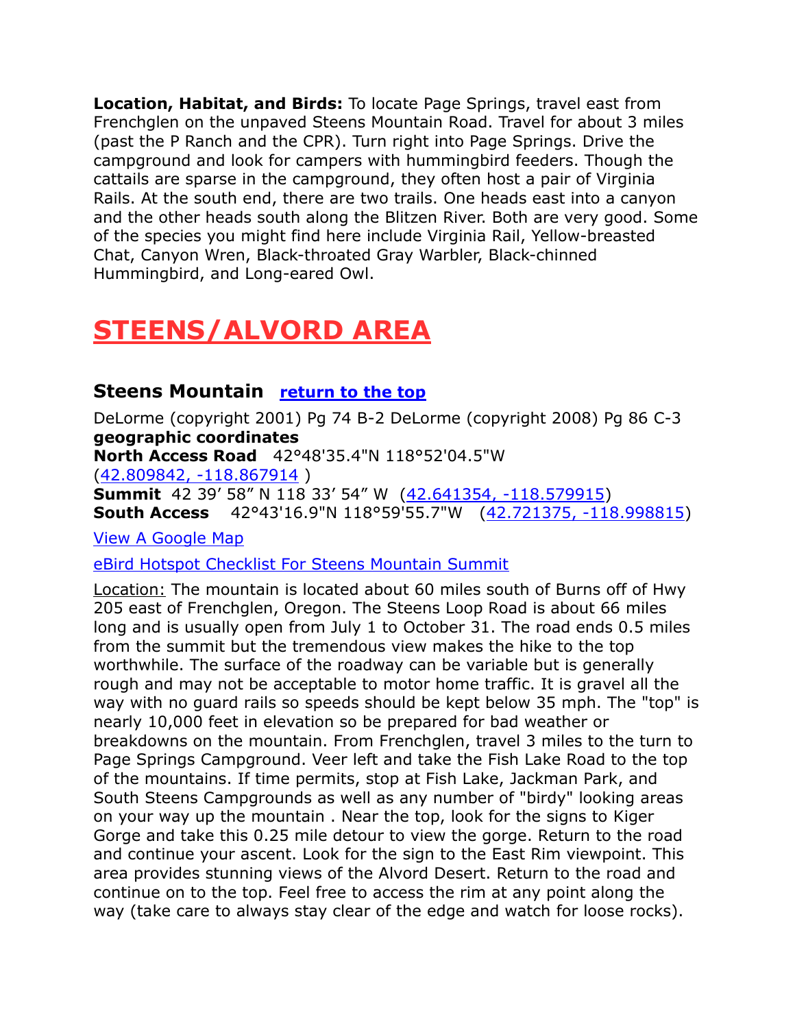**Location, Habitat, and Birds:** To locate Page Springs, travel east from Frenchglen on the unpaved Steens Mountain Road. Travel for about 3 miles (past the P Ranch and the CPR). Turn right into Page Springs. Drive the campground and look for campers with hummingbird feeders. Though the cattails are sparse in the campground, they often host a pair of Virginia Rails. At the south end, there are two trails. One heads east into a canyon and the other heads south along the Blitzen River. Both are very good. Some of the species you might find here include Virginia Rail, Yellow-breasted Chat, Canyon Wren, Black-throated Gray Warbler, Black-chinned Hummingbird, and Long-eared Owl.

# **STEENS/ALVORD AREA**

### **Steens Mountain return to the top**

DeLorme (copyright 2001) Pg 74 B-2 DeLorme (copyright 2008) Pg 86 C-3 **geographic coordinates North Access Road** 42°48'35.4"N 118°52'04.5"W [\(42.809842, -118.867914](https://www.google.com/maps/place/42°48) ) **Summit** 42 39' 58" N 118 33' 54" W ([42.641354, -118.579915\)](https://www.google.com/maps/place/42°38) **South Access** 42°43'16.9"N 118°59'55.7"W [\(42.721375, -118.998815\)](https://www.google.com/maps/place/42°43)

[View A Google Map](http://maps.google.com/maps/ms?hl=en&ie=UTF8&msa=0&ll=42.824774,-118.910136&spn=0.022977,0.027337&z=15&msid=108036481085398338899.00046dfea82ee9b74f863)

[eBird Hotspot Checklist For Steens Mountain Summit](http://ebird.org/ebird/hotspot/L591258?yr=all&m=&rank=hc)

Location: The mountain is located about 60 miles south of Burns off of Hwy 205 east of Frenchglen, Oregon. The Steens Loop Road is about 66 miles long and is usually open from July 1 to October 31. The road ends 0.5 miles from the summit but the tremendous view makes the hike to the top worthwhile. The surface of the roadway can be variable but is generally rough and may not be acceptable to motor home traffic. It is gravel all the way with no guard rails so speeds should be kept below 35 mph. The "top" is nearly 10,000 feet in elevation so be prepared for bad weather or breakdowns on the mountain. From Frenchglen, travel 3 miles to the turn to Page Springs Campground. Veer left and take the Fish Lake Road to the top of the mountains. If time permits, stop at Fish Lake, Jackman Park, and South Steens Campgrounds as well as any number of "birdy" looking areas on your way up the mountain . Near the top, look for the signs to Kiger Gorge and take this 0.25 mile detour to view the gorge. Return to the road and continue your ascent. Look for the sign to the East Rim viewpoint. This area provides stunning views of the Alvord Desert. Return to the road and continue on to the top. Feel free to access the rim at any point along the way (take care to always stay clear of the edge and watch for loose rocks).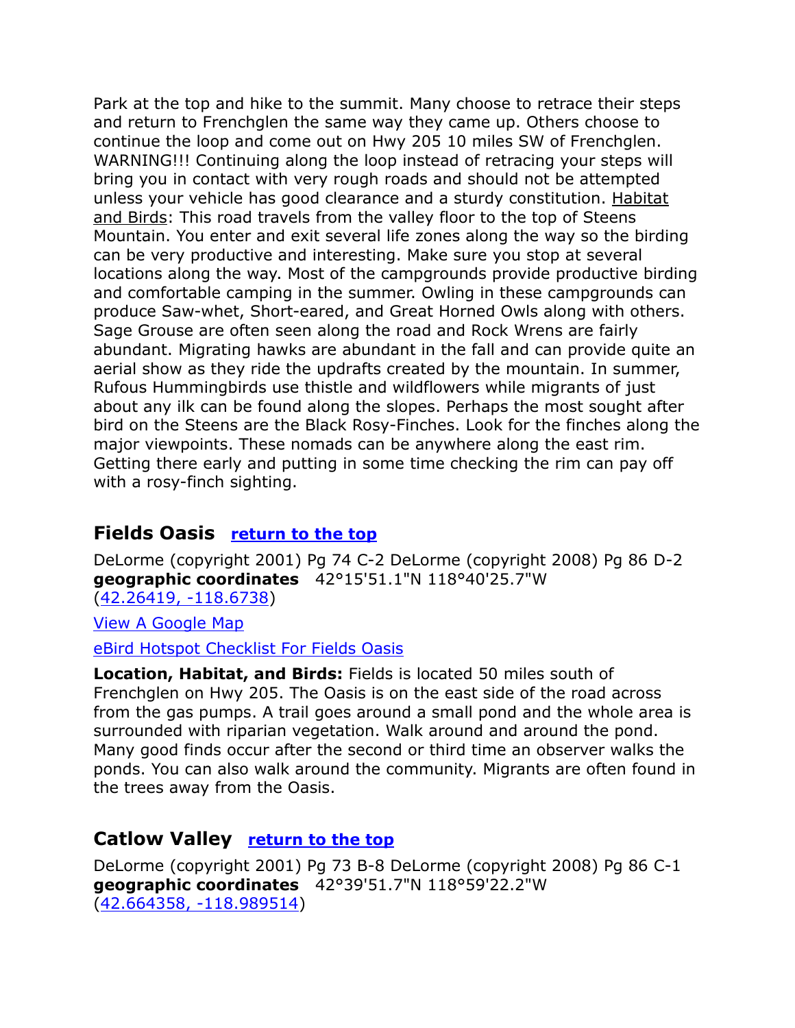Park at the top and hike to the summit. Many choose to retrace their steps and return to Frenchglen the same way they came up. Others choose to continue the loop and come out on Hwy 205 10 miles SW of Frenchglen. WARNING!!! Continuing along the loop instead of retracing your steps will bring you in contact with very rough roads and should not be attempted unless your vehicle has good clearance and a sturdy constitution. Habitat and Birds: This road travels from the valley floor to the top of Steens Mountain. You enter and exit several life zones along the way so the birding can be very productive and interesting. Make sure you stop at several locations along the way. Most of the campgrounds provide productive birding and comfortable camping in the summer. Owling in these campgrounds can produce Saw-whet, Short-eared, and Great Horned Owls along with others. Sage Grouse are often seen along the road and Rock Wrens are fairly abundant. Migrating hawks are abundant in the fall and can provide quite an aerial show as they ride the updrafts created by the mountain. In summer, Rufous Hummingbirds use thistle and wildflowers while migrants of just about any ilk can be found along the slopes. Perhaps the most sought after bird on the Steens are the Black Rosy-Finches. Look for the finches along the major viewpoints. These nomads can be anywhere along the east rim. Getting there early and putting in some time checking the rim can pay off with a rosy-finch sighting.

### **Fields Oasis return to the top**

DeLorme (copyright 2001) Pg 74 C-2 DeLorme (copyright 2008) Pg 86 D-2 **geographic coordinates** 42°15'51.1"N 118°40'25.7"W [\(42.26419, -118.6738\)](https://www.google.com/maps/place/42°15)

[View A Google Map](http://maps.google.com/maps/ms?hl=en&ie=UTF8&msa=0&msid=108036481085398338899.00046f42eff858a94d4ad&ll=42.259779,-118.674316&spn=0.16694,0.349846&z=12)

eBird [Hotspot Checklist For Fields Oasis](http://ebird.org/ebird/hotspot/L720085?yr=all&m=&rank=hc)

**Location, Habitat, and Birds:** Fields is located 50 miles south of Frenchglen on Hwy 205. The Oasis is on the east side of the road across from the gas pumps. A trail goes around a small pond and the whole area is surrounded with riparian vegetation. Walk around and around the pond. Many good finds occur after the second or third time an observer walks the ponds. You can also walk around the community. Migrants are often found in the trees away from the Oasis.

### **Catlow Valley** return to the top

DeLorme (copyright 2001) Pg 73 B-8 DeLorme (copyright 2008) Pg 86 C-1 **geographic coordinates** 42°39'51.7"N 118°59'22.2"W [\(42.664358, -118.989514\)](https://www.google.com/maps/place/42°39)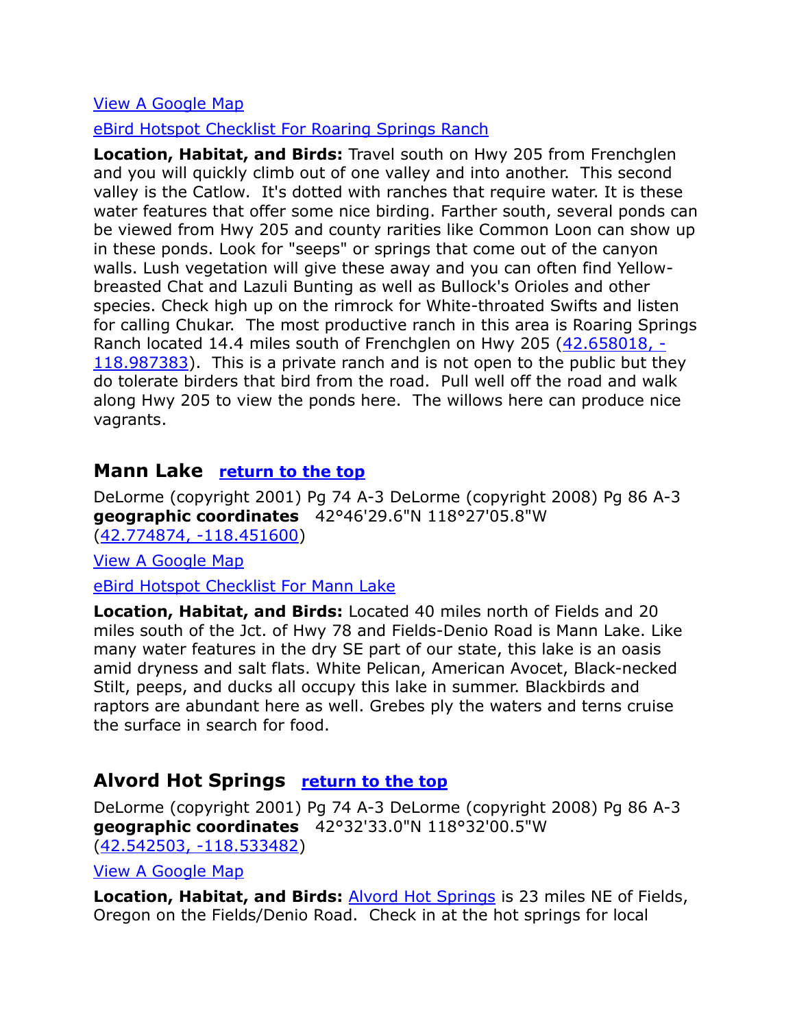#### [View A Google Map](http://maps.google.com/maps/ms?hl=en&ie=UTF8&msa=0&msid=108036481085398338899.00046f433211a5bf1455e&ll=42.631938,-119.039612&spn=1.327583,2.798767&z=9)

#### [eBird Hotspot Checklist For Roaring Springs Ranch](http://ebird.org/ebird/hotspot/L751035?yr=all&m=&rank=hc)

**Location, Habitat, and Birds:** Travel south on Hwy 205 from Frenchglen and you will quickly climb out of one valley and into another. This second valley is the Catlow. It's dotted with ranches that require water. It is these water features that offer some nice birding. Farther south, several ponds can be viewed from Hwy 205 and county rarities like Common Loon can show up in these ponds. Look for "seeps" or springs that come out of the canyon walls. Lush vegetation will give these away and you can often find Yellowbreasted Chat and Lazuli Bunting as well as Bullock's Orioles and other species. Check high up on the rimrock for White-throated Swifts and listen for calling Chukar. The most productive ranch in this area is Roaring Springs Ranch located 14.4 miles south of Frenchglen on Hwy 205 [\(42.658018, -](https://www.google.com/maps/place/42°39) [118.987383\)](https://www.google.com/maps/place/42°39). This is a private ranch and is not open to the public but they do tolerate birders that bird from the road. Pull well off the road and walk along Hwy 205 to view the ponds here. The willows here can produce nice vagrants.

#### **Mann Lake return to the top**

DeLorme (copyright 2001) Pg 74 A-3 DeLorme (copyright 2008) Pg 86 A-3 **geographic coordinates** 42°46'29.6"N 118°27'05.8"W [\(42.774874, -118.451600\)](https://www.google.com/maps/place/42°46)

[View A Google Map](http://maps.google.com/maps/ms?hl=en&ie=UTF8&msa=0&msid=108036481085398338899.00046f4340817eaf92093&ll=42.75508,-118.284302&spn=1.538719,4.22699&z=9)

[eBird Hotspot Checklist For Mann Lake](http://ebird.org/ebird/hotspot/L1333778?yr=all&m=&rank=hc)

**Location, Habitat, and Birds:** Located 40 miles north of Fields and 20 miles south of the Jct. of Hwy 78 and Fields-Denio Road is Mann Lake. Like many water features in the dry SE part of our state, this lake is an oasis amid dryness and salt flats. White Pelican, American Avocet, Black-necked Stilt, peeps, and ducks all occupy this lake in summer. Blackbirds and raptors are abundant here as well. Grebes ply the waters and terns cruise the surface in search for food.

#### **Alvord Hot Springs return to the top**

DeLorme (copyright 2001) Pg 74 A-3 DeLorme (copyright 2008) Pg 86 A-3 **geographic coordinates** 42°32'33.0"N 118°32'00.5"W [\(42.542503, -118.533482\)](https://www.google.com/maps/place/42°32)

[View A Google Map](http://maps.google.com/maps/ms?hl=en&ie=UTF8&msa=0&msid=108036481085398338899.00046f4340817eaf92093&ll=42.75508,-118.284302&spn=1.538719,4.22699&z=9)

**Location, Habitat, and Birds:** [Alvord Hot Springs](https://www.facebook.com/pages/Alvord-Hot-Springs-LLC/464929036894501) is 23 miles NE of Fields, Oregon on the Fields/Denio Road. Check in at the hot springs for local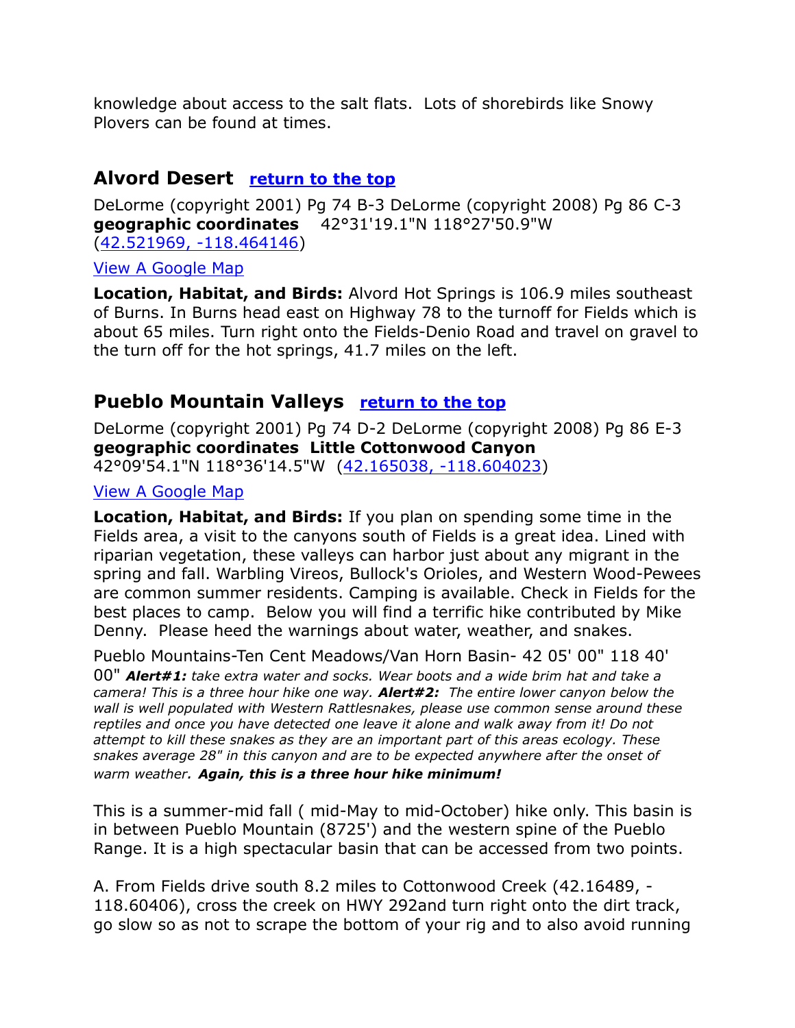knowledge about access to the salt flats. Lots of shorebirds like Snowy Plovers can be found at times.

## **Alvord Desert return to the top**

DeLorme (copyright 2001) Pg 74 B-3 DeLorme (copyright 2008) Pg 86 C-3 **geographic coordinates** 42°31'19.1"N 118°27'50.9"W [\(42.521969, -118.464146\)](https://www.google.com/maps/place/42°31)

[View A Google Map](http://maps.google.com/maps/ms?hl=en&ie=UTF8&msa=0&msid=108036481085398338899.00046f4340817eaf92093&ll=42.75508,-118.284302&spn=1.538719,4.22699&z=9)

**Location, Habitat, and Birds:** Alvord Hot Springs is 106.9 miles southeast of Burns. In Burns head east on Highway 78 to the turnoff for Fields which is about 65 miles. Turn right onto the Fields-Denio Road and travel on gravel to the turn off for the hot springs, 41.7 miles on the left.

# **Pueblo Mountain Valleys return to the top**

DeLorme (copyright 2001) Pg 74 D-2 DeLorme (copyright 2008) Pg 86 E-3 **geographic coordinates Little Cottonwood Canyon**

42°09'54.1"N 118°36'14.5"W [\(42.165038, -118.604023\)](https://www.google.com/maps/place/42°09)

#### [View A Google Map](http://maps.google.com/maps/ms?hl=en&ie=UTF8&msa=0&msid=108036481085398338899.00046f437f351314a2441&ll=42.149914,-118.593292&spn=0.16723,0.349846&z=12)

**Location, Habitat, and Birds:** If you plan on spending some time in the Fields area, a visit to the canyons south of Fields is a great idea. Lined with riparian vegetation, these valleys can harbor just about any migrant in the spring and fall. Warbling Vireos, Bullock's Orioles, and Western Wood-Pewees are common summer residents. Camping is available. Check in Fields for the best places to camp. Below you will find a terrific hike contributed by Mike Denny. Please heed the warnings about water, weather, and snakes.

Pueblo Mountains-Ten Cent Meadows/Van Horn Basin- 42 05' 00" 118 40' 00" *Alert#1: take extra water and socks. Wear boots and a wide brim hat and take a camera! This is a three hour hike one way. Alert#2: The entire lower canyon below the wall is well populated with Western Rattlesnakes, please use common sense around these reptiles and once you have detected one leave it alone and walk away from it! Do not attempt to kill these snakes as they are an important part of this areas ecology. These snakes average 28" in this canyon and are to be expected anywhere after the onset of warm weather. Again, this is a three hour hike minimum!*

This is a summer-mid fall ( mid-May to mid-October) hike only. This basin is in between Pueblo Mountain (8725') and the western spine of the Pueblo Range. It is a high spectacular basin that can be accessed from two points.

A. From Fields drive south 8.2 miles to Cottonwood Creek (42.16489, - 118.60406), cross the creek on HWY 292and turn right onto the dirt track, go slow so as not to scrape the bottom of your rig and to also avoid running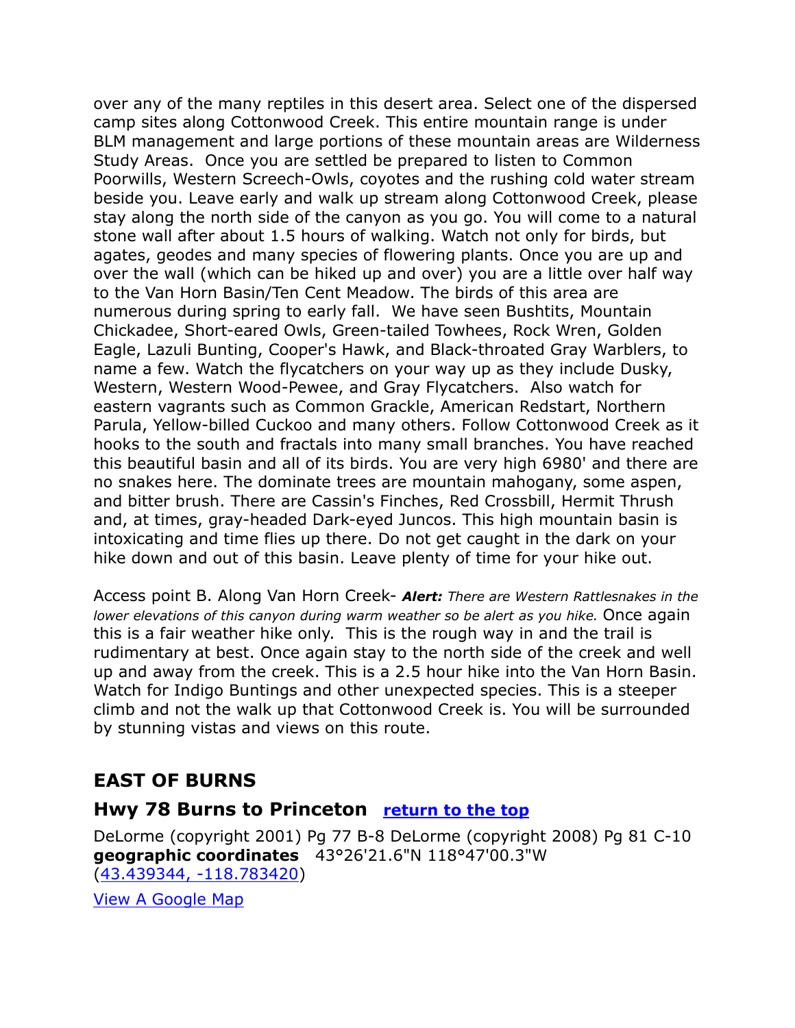over any of the many reptiles in this desert area. Select one of the dispersed camp sites along Cottonwood Creek. This entire mountain range is under BLM management and large portions of these mountain areas are Wilderness Study Areas. Once you are settled be prepared to listen to Common Poorwills, Western Screech-Owls, coyotes and the rushing cold water stream beside you. Leave early and walk up stream along Cottonwood Creek, please stay along the north side of the canyon as you go. You will come to a natural stone wall after about 1.5 hours of walking. Watch not only for birds, but agates, geodes and many species of flowering plants. Once you are up and over the wall (which can be hiked up and over) you are a little over half way to the Van Horn Basin/Ten Cent Meadow. The birds of this area are numerous during spring to early fall. We have seen Bushtits, Mountain Chickadee, Short-eared Owls, Green-tailed Towhees, Rock Wren, Golden Eagle, Lazuli Bunting, Cooper's Hawk, and Black-throated Gray Warblers, to name a few. Watch the flycatchers on your way up as they include Dusky, Western, Western Wood-Pewee, and Gray Flycatchers. Also watch for eastern vagrants such as Common Grackle, American Redstart, Northern Parula, Yellow-billed Cuckoo and many others. Follow Cottonwood Creek as it hooks to the south and fractals into many small branches. You have reached this beautiful basin and all of its birds. You are very high 6980' and there are no snakes here. The dominate trees are mountain mahogany, some aspen, and bitter brush. There are Cassin's Finches, Red Crossbill, Hermit Thrush and, at times, gray-headed Dark-eyed Juncos. This high mountain basin is intoxicating and time flies up there. Do not get caught in the dark on your hike down and out of this basin. Leave plenty of time for your hike out.

Access point B. Along Van Horn Creek- *Alert: There are Western Rattlesnakes in the lower elevations of this canyon during warm weather so be alert as you hike.* Once again this is a fair weather hike only. This is the rough way in and the trail is rudimentary at best. Once again stay to the north side of the creek and well up and away from the creek. This is a 2.5 hour hike into the Van Horn Basin. Watch for Indigo Buntings and other unexpected species. This is a steeper climb and not the walk up that Cottonwood Creek is. You will be surrounded by stunning vistas and views on this route.

# **EAST OF BURNS**

### **Hwy 78 Burns to Princeton return to the top**

DeLorme (copyright 2001) Pg 77 B-8 DeLorme (copyright 2008) Pg 81 C-10 **geographic coordinates** 43°26'21.6"N 118°47'00.3"W [\(43.439344, -118.783420\)](https://www.google.com/maps/place/43°26)

[View A Google Map](http://maps.google.com/maps/ms?hl=en&ie=UTF8&msa=0&ll=43.432669,-118.81803&spn=0.380454,1.056747&z=10&msid=108036481085398338899.00046f2d40a8326e9917e)